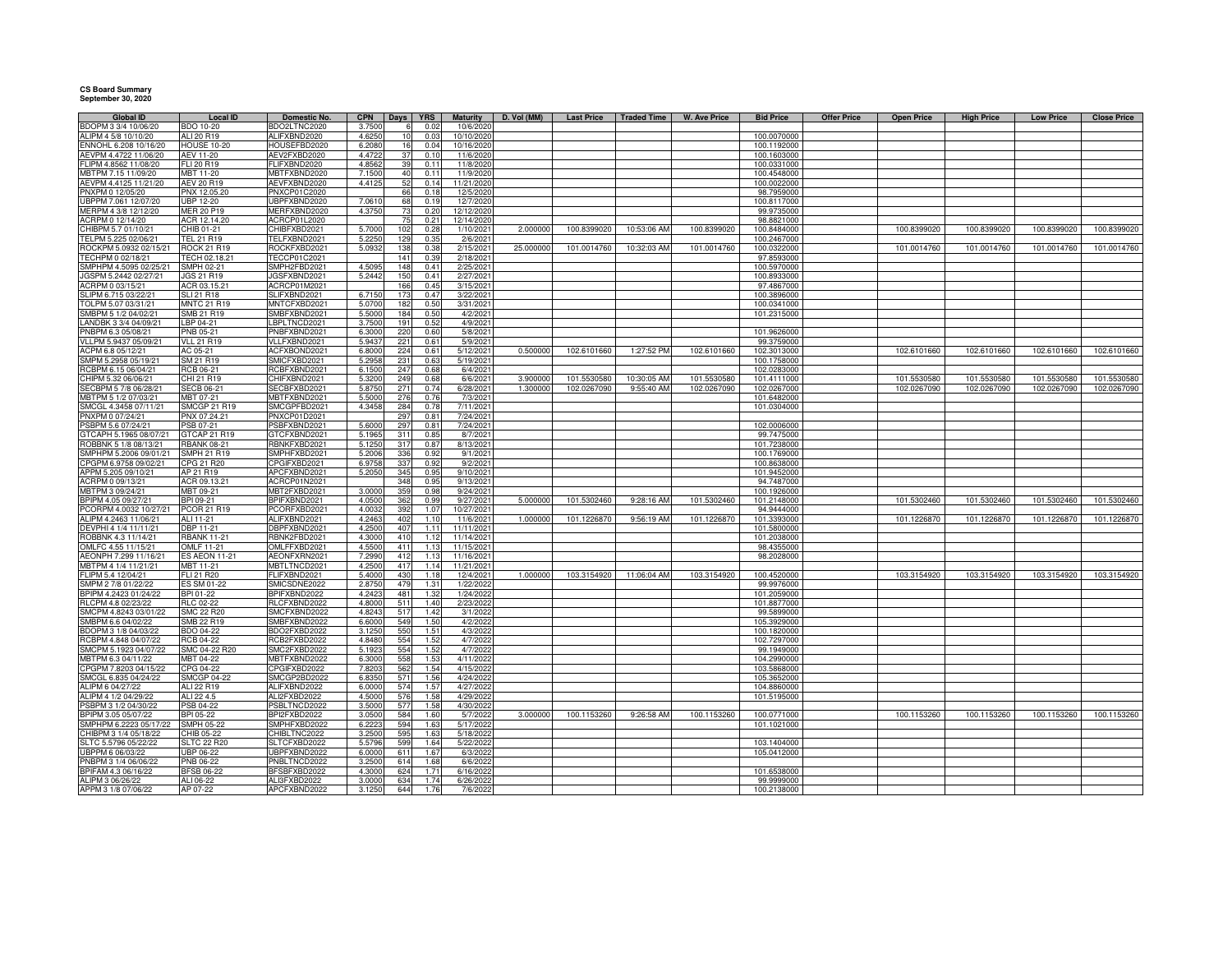## **CS Board Summary September 30, 2020**

| <b>Global ID</b>                              | <b>Local ID</b>                  | Domestic No.                        | <b>CPN</b>     |            | Days <b>YRS</b> | <b>Maturity</b>          | D. Vol (MM) | <b>Last Price</b> | <b>Traded Time</b> | <b>W. Ave Price</b> | <b>Bid Price</b>           | <b>Offer Price</b> | <b>Open Price</b> | <b>High Price</b> | <b>Low Price</b> | <b>Close Price</b> |
|-----------------------------------------------|----------------------------------|-------------------------------------|----------------|------------|-----------------|--------------------------|-------------|-------------------|--------------------|---------------------|----------------------------|--------------------|-------------------|-------------------|------------------|--------------------|
| BDOPM 3 3/4 10/06/20                          | <b>BDO 10-20</b>                 | BDO2LTNC2020                        | 3.7500         |            | 0.02            | 10/6/2020                |             |                   |                    |                     |                            |                    |                   |                   |                  |                    |
| ALIPM 4 5/8 10/10/20                          | ALI 20 R19                       | ALIFXBND2020                        | 4.6250         | 10         | 0.03            | 10/10/2020               |             |                   |                    |                     | 100.0070000                |                    |                   |                   |                  |                    |
| ENNOHL 6.208 10/16/20                         | <b>HOUSE 10-20</b>               | HOUSEFBD2020                        | 6.208          | 16         | 0.04            | 10/16/2020               |             |                   |                    |                     | 100.1192000                |                    |                   |                   |                  |                    |
| AEVPM 4.4722 11/06/20                         | <b>AEV 11-20</b>                 | AEV2FXBD2020                        | 4.472          | 37         | 0.10            | 11/6/2020                |             |                   |                    |                     | 100.1603000                |                    |                   |                   |                  |                    |
| FLIPM 4.8562 11/08/20                         | FLI 20 R19<br>MBT 11-20          | FLIFXBND2020                        | 4.856<br>7.150 | 39         | 0.11            | 11/8/2020                |             |                   |                    |                     | 100.0331000<br>100.4548000 |                    |                   |                   |                  |                    |
| MBTPM 7.15 11/09/20<br>AEVPM 4.4125 11/21/20  | AEV 20 R19                       | <b>MBTFXBND2020</b><br>AEVFXBND2020 |                | 40<br>52   | 0.11<br>0.14    | 11/9/2020<br>11/21/2020  |             |                   |                    |                     | 100.0022000                |                    |                   |                   |                  |                    |
| PNXPM 0 12/05/20                              | PNX 12.05.20                     | PNXCP01C2020                        | 4.412          | 66         | 0.18            | 12/5/2020                |             |                   |                    |                     | 98.7959000                 |                    |                   |                   |                  |                    |
| UBPPM 7.061 12/07/20                          | <b>UBP 12-20</b>                 | UBPFXBND2020                        | 7.061          | 68         | 0.19            | 12/7/2020                |             |                   |                    |                     | 100.8117000                |                    |                   |                   |                  |                    |
| MERPM 4 3/8 12/12/20                          | <b>MER 20 P19</b>                | MERFXBND2020                        | 4.375          |            | 0.20            | 12/12/2020               |             |                   |                    |                     | 99.9735000                 |                    |                   |                   |                  |                    |
| ACRPM 0 12/14/20                              | ACR 12.14.20                     | ACRCP01L2020                        |                | 75         | 0.21            | 12/14/2020               |             |                   |                    |                     | 98.8821000                 |                    |                   |                   |                  |                    |
| CHIBPM 5.7 01/10/21                           | CHIB 01-21                       | CHIBFXBD2021                        | 5.700          | 102        | 0.28            | 1/10/2021                | 2.00000     | 100.8399020       | 10:53:06 AM        | 100.8399020         | 100.8484000                |                    | 100.8399020       | 100.8399020       | 100.8399020      | 100.8399020        |
| TELPM 5.225 02/06/21                          | TEL 21 R19                       | TELFXBND2021                        | 5.225          | 129        | 0.35            | 2/6/2021                 |             |                   |                    |                     | 100.2467000                |                    |                   |                   |                  |                    |
| ROCKPM 5.0932 02/15/21                        | <b>ROCK 21 R19</b>               | ROCKFXBD2021                        | 5.093          | 138        | 0.38            | 2/15/2021                | 25,00000    | 101.0014760       | 10:32:03 AM        | 101.0014760         | 100.0322000                |                    | 101.0014760       | 101.0014760       | 101.0014760      | 101.0014760        |
| TECHPM 0 02/18/21                             | TECH 02.18.21                    | TECCP01C2021                        |                | 141        | 0.39            | 2/18/2021                |             |                   |                    |                     | 97.8593000                 |                    |                   |                   |                  |                    |
| SMPHPM 4.5095 02/25/21                        | SMPH 02-21                       | SMPH2FBD2021                        | 4.509          | 148        | 0.41            | 2/25/2021                |             |                   |                    |                     | 100.5970000                |                    |                   |                   |                  |                    |
| JGSPM 5.2442 02/27/21                         | <b>JGS 21 R19</b>                | JGSFXBND2021                        | 5.244          | 150        | 0.41            | 2/27/2021                |             |                   |                    |                     | 100.8933000                |                    |                   |                   |                  |                    |
| ACRPM 0 03/15/21                              | ACR 03.15.21                     | ACRCP01M2021                        |                | 166        | 0.45            | 3/15/2021                |             |                   |                    |                     | 97.4867000                 |                    |                   |                   |                  |                    |
| SLIPM 6.715 03/22/21                          | <b>SLI 21 R18</b>                | SLIFXBND2021                        | 6.715          | 173        | 0.47            | 3/22/2021                |             |                   |                    |                     | 100.3896000                |                    |                   |                   |                  |                    |
| TOLPM 5.07 03/31/21<br>SMBPM 5 1/2 04/02/21   | <b>MNTC 21 R19</b>               | MNTCFXBD2021                        | 5.070<br>5.500 | 182        | 0.50            | 3/31/2021                |             |                   |                    |                     | 100.0341000                |                    |                   |                   |                  |                    |
| LANDBK 3 3/4 04/09/21                         | SMB 21 R19<br>LBP 04-21          | SMBFXBND2021<br>LBPLTNCD2021        | 3.750          | 184<br>191 | 0.50<br>0.52    | 4/2/2021<br>4/9/2021     |             |                   |                    |                     | 101.2315000                |                    |                   |                   |                  |                    |
| PNBPM 6.3 05/08/21                            | <b>PNB 05-21</b>                 | NBFXBND2021                         | 6.300          | 220        | 0.60            | 5/8/2021                 |             |                   |                    |                     | 101.9626000                |                    |                   |                   |                  |                    |
| VLLPM 5.9437 05/09/21                         | <b>VLL 21 R19</b>                | VLLFXBND2021                        | 5.943          | 221        | 0.61            | 5/9/2021                 |             |                   |                    |                     | 99.3759000                 |                    |                   |                   |                  |                    |
| ACPM 6.8 05/12/21                             | AC 05-21                         | <b>ACFXBOND2021</b>                 | 6.800          | 224        | 0.61            | 5/12/2021                | 0.500000    | 102.6101660       | 1:27:52 PM         | 102.6101660         | 102.3013000                |                    | 102.6101660       | 102.6101660       | 102.6101660      | 102.6101660        |
| SMPM 5.2958 05/19/21                          | SM 21 R19                        | SMICFXBD2021                        | 5.295          | 231        | 0.63            | 5/19/2021                |             |                   |                    |                     | 100.1758000                |                    |                   |                   |                  |                    |
| RCBPM 6.15 06/04/21                           | RCB 06-21                        | RCBFXBND2021                        | 6.150          | 247        | 0.68            | 6/4/2021                 |             |                   |                    |                     | 102.0283000                |                    |                   |                   |                  |                    |
| HIPM 5.32 06/06/21                            | CHI 21 R19                       | CHIFXBND2021                        | 5.320          | 249        | 0.68            | 6/6/2021                 | 3.900000    | 101.5530580       | 10:30:05 AM        | 101.5530580         | 101.4111000                |                    | 101.5530580       | 101.5530580       | 101.5530580      | 101.5530580        |
| SECBPM 5 7/8 06/28/21                         | <b>SECB 06-21</b>                | SECBFXBD2021                        | 5.875          | 271        | 0.74            | 6/28/2021                | 1.300000    | 102.0267090       | 9:55:40 AM         | 102.0267090         | 102.0267000                |                    | 102.0267090       | 102.0267090       | 102.0267090      | 102.0267090        |
| MBTPM 5 1/2 07/03/21                          | MBT 07-21                        | MBTFXBND2021                        | 5.500          | 276        | 0.76            | 7/3/2021                 |             |                   |                    |                     | 101.6482000                |                    |                   |                   |                  |                    |
| SMCGL 4.3458 07/11/21                         | <b>SMCGP 21 R19</b>              | SMCGPFBD2021                        | 4.345          | 284        | 0.78            | 7/11/2021                |             |                   |                    |                     | 101.0304000                |                    |                   |                   |                  |                    |
| PNXPM 0 07/24/21                              | PNX 07.24.21                     | PNXCP01D2021                        |                | 297        | 0.81            | 7/24/2021                |             |                   |                    |                     |                            |                    |                   |                   |                  |                    |
| PSBPM 5.6 07/24/21<br>GTCAPH 5.1965 08/07/21  | PSB 07-21<br>GTCAP 21 R19        | PSBFXBND2021<br>GTCFXBND2021        | 5.600<br>5.196 | 297<br>311 | 0.81<br>0.85    | 7/24/2021<br>8/7/2021    |             |                   |                    |                     | 102.0006000<br>99.7475000  |                    |                   |                   |                  |                    |
| ROBBNK 5 1/8 08/13/21                         | <b>RBANK 08-21</b>               | RBNKFXBD2021                        | 5.125          | 317        | 0.87            | 8/13/2021                |             |                   |                    |                     | 101.7238000                |                    |                   |                   |                  |                    |
| SMPHPM 5.2006 09/01/21                        | <b>SMPH 21 R19</b>               | SMPHFXBD2021                        | 5.200          | 336        | 0.92            | 9/1/2021                 |             |                   |                    |                     | 100.1769000                |                    |                   |                   |                  |                    |
| CPGPM 6.9758 09/02/21                         | CPG 21 R20                       | CPGIFXBD2021                        | 6.975          | 337        | 0.92            | 9/2/2021                 |             |                   |                    |                     | 100.8638000                |                    |                   |                   |                  |                    |
| APPM 5.205 09/10/21                           | AP 21 R19                        | APCFXBND2021                        | 5.205          | 345        | 0.95            | 9/10/2021                |             |                   |                    |                     | 101.9452000                |                    |                   |                   |                  |                    |
| ACRPM 0 09/13/21                              | ACR 09.13.21                     | ACRCP01N2021                        |                | 348        | 0.95            | 9/13/2021                |             |                   |                    |                     | 94.7487000                 |                    |                   |                   |                  |                    |
| MBTPM 3 09/24/21                              | MBT 09-21                        | MBT2FXBD2021                        | 3.000          | 359        | 0.98            | 9/24/2021                |             |                   |                    |                     | 100.1926000                |                    |                   |                   |                  |                    |
| BPIPM 4.05 09/27/21                           | BPI 09-21                        | BPIFXBND2021                        | 4.050          | 362        | 0.99            | 9/27/2021                | 5.000000    | 101.5302460       | 9:28:16 AM         | 101.5302460         | 101.2148000                |                    | 101.5302460       | 101.5302460       | 101.5302460      | 101.5302460        |
| PCORPM 4.0032 10/27/21                        | PCOR 21 R19                      | PCORFXBD2021                        | 4.003          | 392        | 1.07            | 10/27/2021               |             |                   |                    |                     | 94.9444000                 |                    |                   |                   |                  |                    |
| ALIPM 4.2463 11/06/21                         | ALI 11-21                        | ALIFXBND2021                        | 4.246          | 402        | 1.10            | 11/6/2021                | 1.000000    | 101.1226870       | 9:56:19 AM         | 101.1226870         | 101.3393000                |                    | 101.1226870       | 101.1226870       | 101.1226870      | 101.1226870        |
| DEVPHI 4 1/4 11/11/21<br>ROBBNK 4.3 11/14/21  | DBP 11-21<br>RBANK 11-21         | DBPFXBND2021<br>RBNK2FBD2021        | 4.250<br>4.300 | 407<br>410 | 1.11<br>1.12    | 11/11/2021<br>11/14/2021 |             |                   |                    |                     | 101.5800000<br>101.2038000 |                    |                   |                   |                  |                    |
| OMLFC 4.55 11/15/21                           | <b>OMLF 11-21</b>                | OMLFFXBD2021                        | 4.550          | 411        | 1.13            | 11/15/2021               |             |                   |                    |                     | 98.4355000                 |                    |                   |                   |                  |                    |
| AEONPH 7.299 11/16/21                         | <b>ES AEON 11-21</b>             | AEONFXRN2021                        | 7.299          | 412        | 1.13            | 11/16/2021               |             |                   |                    |                     | 98.2028000                 |                    |                   |                   |                  |                    |
| MBTPM 4 1/4 11/21/21                          | <b>MBT 11-21</b>                 | <b>MBTLTNCD2021</b>                 | 4.250          | 417        | 1.14            | 11/21/2021               |             |                   |                    |                     |                            |                    |                   |                   |                  |                    |
| FLIPM 5.4 12/04/21                            | FLI 21 R20                       | FLIFXBND2021                        | 5.400          | 430        | 1.18            | 12/4/2021                | 1.000000    | 103.3154920       | 11:06:04 AM        | 103.3154920         | 100.4520000                |                    | 103.3154920       | 103.3154920       | 103.3154920      | 103.3154920        |
| SMPM 2 7/8 01/22/22                           | ES SM 01-22                      | SMICSDNE2022                        | 2.875          | 479        | 1.31            | 1/22/2022                |             |                   |                    |                     | 99.9976000                 |                    |                   |                   |                  |                    |
| BPIPM 4.2423 01/24/22                         | BPI 01-22                        | BPIFXBND2022                        | 4.242          | 481        | 1.32            | 1/24/2022                |             |                   |                    |                     | 101.2059000                |                    |                   |                   |                  |                    |
| RLCPM 4.8 02/23/22                            | <b>RLC 02-22</b>                 | RLCFXBND2022                        | 4.800          | 511        | 1.40            | 2/23/2022                |             |                   |                    |                     | 101.8877000                |                    |                   |                   |                  |                    |
| SMCPM 4.8243 03/01/22                         | <b>SMC 22 R20</b>                | SMCFXBND2022                        | 4.824          | 517        | 1.42            | 3/1/2022                 |             |                   |                    |                     | 99.5899000                 |                    |                   |                   |                  |                    |
| SMBPM 6.6 04/02/22                            | <b>SMB 22 R19</b>                | SMBFXBND2022                        | 6.600          | 549        | 1.50            | 4/2/2022                 |             |                   |                    |                     | 105.3929000                |                    |                   |                   |                  |                    |
| BDOPM 3 1/8 04/03/22<br>RCBPM 4.848 04/07/22  | BDO 04-22<br><b>RCB 04-22</b>    | BDO2FXBD2022<br>RCB2FXBD2022        | 3.125<br>4.848 | 550<br>554 | 1.51<br>1.52    | 4/3/2022<br>4/7/2022     |             |                   |                    |                     | 100.1820000<br>102.7297000 |                    |                   |                   |                  |                    |
| SMCPM 5.1923 04/07/22                         | SMC 04-22 R20                    | SMC2FXBD2022                        | 5.192          | 554        | 1.52            | 4/7/2022                 |             |                   |                    |                     | 99.1949000                 |                    |                   |                   |                  |                    |
| MBTPM 6.3 04/11/22                            | MBT 04-22                        | MBTFXBND2022                        | 6.300          | 558        | 1.53            | 4/11/2022                |             |                   |                    |                     | 104.2990000                |                    |                   |                   |                  |                    |
| CPGPM 7.8203 04/15/22                         | CPG 04-22                        | CPGIFXBD2022                        | 7.820          | 562        | 1.54            | 4/15/2022                |             |                   |                    |                     | 103.5868000                |                    |                   |                   |                  |                    |
| SMCGL 6.835 04/24/22                          | <b>SMCGP 04-22</b>               | SMCGP2BD2022                        | 6.835          | 571        | 1.56            | 4/24/2022                |             |                   |                    |                     | 105.3652000                |                    |                   |                   |                  |                    |
| ALIPM 6 04/27/22                              | ALI 22 R19                       | ALIFXBND2022                        | 6.000          | 574        | 1.57            | 4/27/2022                |             |                   |                    |                     | 104.8860000                |                    |                   |                   |                  |                    |
| ALIPM 4 1/2 04/29/22                          | ALI 22 4.5                       | ALI2FXBD2022                        | 4.500          | 576        | 1.58            | 4/29/2022                |             |                   |                    |                     | 101.5195000                |                    |                   |                   |                  |                    |
| PSBPM 3 1/2 04/30/22                          | PSB 04-22                        | PSBLTNCD2022                        | 3.500          | 577        | 1.58            | 4/30/2022                |             |                   |                    |                     |                            |                    |                   |                   |                  |                    |
| BPIPM 3.05 05/07/22                           | BPI 05-22                        | BPI2FXBD2022                        | 3.050          | 584        | 1.60            | 5/7/2022                 | 3.000000    | 100.1153260       | 9:26:58 AM         | 100.1153260         | 100.0771000                |                    | 100.1153260       | 100.1153260       | 100.1153260      | 100.1153260        |
| SMPHPM 6.2223 05/17/22                        | <b>SMPH 05-22</b>                | SMPHFXBD2022                        | 6.222          | 594        | 1.63            | 5/17/2022                |             |                   |                    |                     | 101.1021000                |                    |                   |                   |                  |                    |
| CHIBPM 3 1/4 05/18/22<br>SLTC 5.5796 05/22/22 | CHIB 05-22<br><b>SLTC 22 R20</b> | <b>CHIBLTNC2022</b><br>SLTCFXBD2022 | 3.250<br>5.579 | 595<br>599 | 1.63<br>1.64    | 5/18/2022<br>5/22/202    |             |                   |                    |                     | 103.1404000                |                    |                   |                   |                  |                    |
| JBPPM 6 06/03/22                              | <b>UBP 06-22</b>                 | JBPFXBND2022                        | 6.000          | 611        | 1.67            | 6/3/2022                 |             |                   |                    |                     | 105.0412000                |                    |                   |                   |                  |                    |
| PNBPM 3 1/4 06/06/22                          | PNB 06-22                        | PNBLTNCD2022                        | 3.250          | 614        | 1.68            | 6/6/2022                 |             |                   |                    |                     |                            |                    |                   |                   |                  |                    |
| BPIFAM 4.3 06/16/22                           | <b>BFSB 06-22</b>                | BFSBFXBD2022                        | 4.300          | 624        | 1.71            | 6/16/2022                |             |                   |                    |                     | 101.6538000                |                    |                   |                   |                  |                    |
| ALIPM 3 06/26/22                              | ALI 06-22                        | ALI3FXBD2022                        | 3.000          | 634        | 1.74            | 6/26/2022                |             |                   |                    |                     | 99.9999000                 |                    |                   |                   |                  |                    |
| APPM 3 1/8 07/06/22                           | AP 07-22                         | APCFXBND2022                        | 3.125          | 644        | 1.76            | 7/6/2022                 |             |                   |                    |                     | 100.2138000                |                    |                   |                   |                  |                    |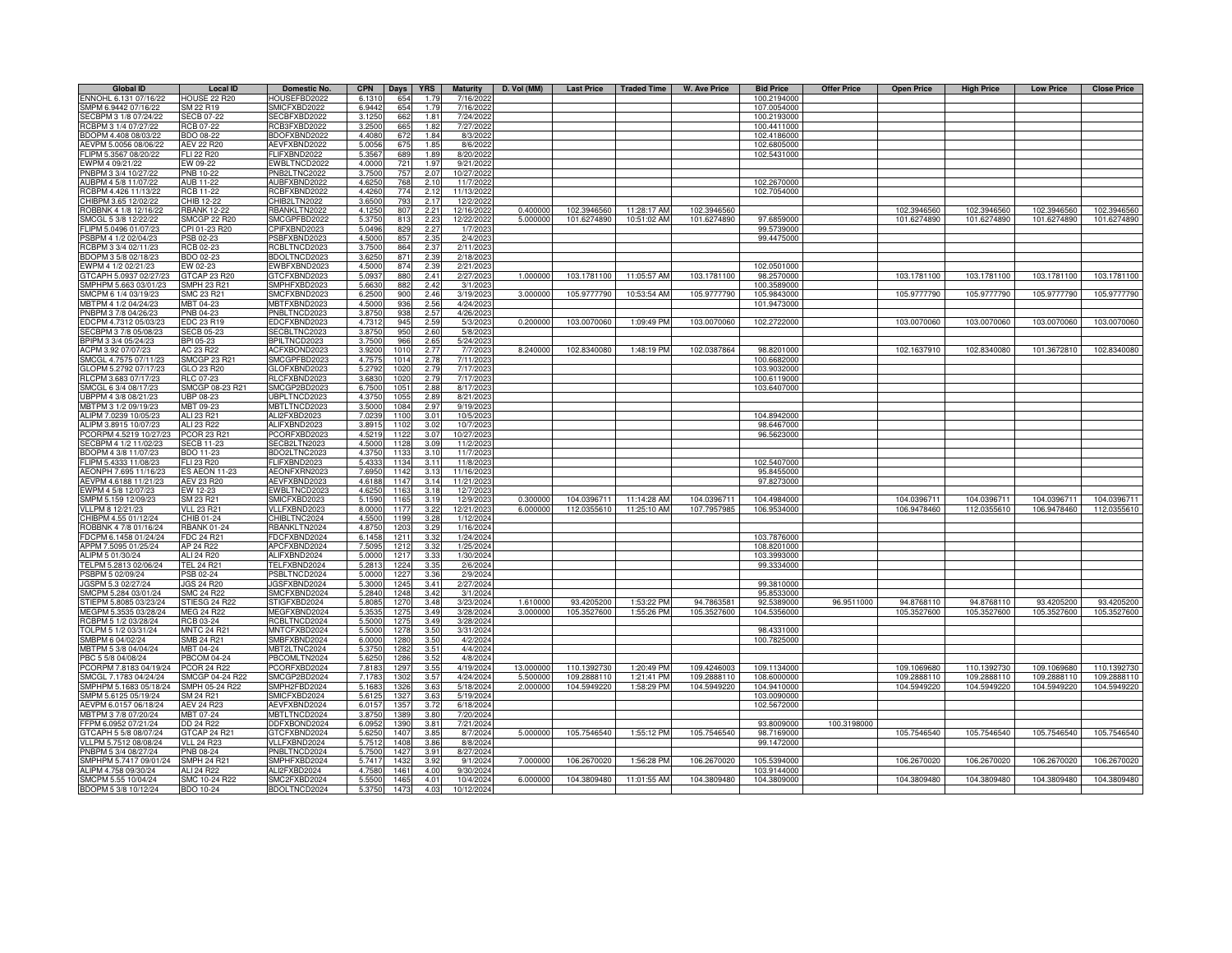| 654<br>SMPM 6.9442 07/16/22<br>SM 22 R19<br>SMICFXBD2022<br>6.9442<br>107.0054000<br>1.79<br>7/16/2022<br>3.1250<br>662<br>SECBPM 3 1/8 07/24/22<br><b>SECB 07-22</b><br>SECBFXBD2022<br>7/24/2022<br>100.2193000<br>1.81<br>RCBPM 3 1/4 07/27/22<br><b>RCB 07-22</b><br>RCB3FXBD2022<br>3.2500<br>665<br>7/27/2022<br>1.82<br>100.4411000<br>BDOPM 4.408 08/03/22<br><b>BDO 08-22</b><br>BDOFXBND2022<br>4.408<br>672<br>1.84<br>8/3/2022<br>102.4186000<br>AEVPM 5.0056 08/06/22<br><b>AEV 22 R20</b><br>AEVFXBND2022<br>5.005<br>675<br>1.85<br>8/6/2022<br>102.6805000<br>FLIPM 5.3567 08/20/22<br>FLIFXBND2022<br>5.3567<br><b>FLI 22 R20</b><br>689<br>1.89<br>8/20/2022<br>102.5431000<br>EW 09-22<br>EWBLTNCD2022<br>4.0000<br>721<br>9/21/2022<br>1.97<br>PNBPM 3 3/4 10/27/22<br><b>PNB 10-22</b><br>PNB2LTNC2022<br>3.7500<br>757<br>10/27/2022<br>2.07<br>AUBPM 4 5/8 11/07/22<br><b>AUB 11-22</b><br>AUBFXBND2022<br>4.6250<br>768<br>11/7/2022<br>102.2670000<br>2.10<br>RCB 11-22<br>RCBFXBND2022<br>774<br>RCBPM 4.426 11/13/22<br>4.4260<br>11/13/2022<br>102.7054000<br>2.12<br>CHIB2LTN2022<br>793<br>CHIBPM 3.65 12/02/22<br>CHIB 12-22<br>3.650<br>12/2/202<br>2.17<br>RBANKLTN2022<br><b>RBANK 12-22</b><br>4.1250<br>2.21<br>12/16/2022<br>0.40000<br>102.3946560<br>11:28:17 AM<br>102.3946560<br>102.3946560<br>102.3946560<br>102.3946560<br>102.3946560<br>ROBBNK 4 1/8 12/16/22<br>807<br>SMCGL 5 3/8 12/22/22<br><b>SMCGP 22 R20</b><br>SMCGPFBD2022<br>12/22/2022<br>5.000000<br>101.6274890<br>10:51:02 AM<br>101.6274890<br>101.6274890<br>101.6274890<br>101.6274890<br>101.6274890<br>5.3750<br>813<br>2.23<br>97.6859000<br>FLIPM 5.0496 01/07/23<br>CPI 01-23 R20<br>CPIFXBND2023<br>5.0496<br>2.27<br>1/7/2023<br>99.5739000<br>829<br>PSB 02-23<br>PSBFXBND2023<br>4.5000<br>857<br>2.35<br>2/4/2023<br>99.4475000<br>PSBPM 4 1/2 02/04/23<br>RCB 02-23<br>RCBLTNCD2023<br>3.7500<br>864<br>2.37<br>2/11/2023<br>BDOPM 3 5/8 02/18/23<br>BDO 02-23<br>BDOLTNCD2023<br>3.625<br>871<br>2.39<br>2/18/2023<br>2/21/2023<br>WPM 4 1/2 02/21/23<br>EW 02-23<br>EWBFXBND2023<br>4.500<br>874<br>2.39<br>102.0501000<br>GTCAP 23 R20<br>GTCFXBND2023<br>2/27/2023<br>103.1781100<br>11:05:57 AM<br>GTCAPH 5.0937 02/27/23<br>5.093<br>880<br>2.41<br>1.00000<br>103.1781100<br>98.2570000<br>103.1781100<br>103.1781100<br>103.1781100<br>103.1781100<br>SMPHPM 5.663 03/01/23<br><b>SMPH 23 R21</b><br>SMPHFXBD2023<br>5.663<br>2.42<br>3/1/2023<br>100.3589000<br>882<br>SMCPM 6 1/4 03/19/23<br><b>SMC 23 R21</b><br>SMCFXBND2023<br>6.250<br>900<br>2.46<br>3/19/2023<br>3.00000<br>105.9777790<br>10:53:54 AM<br>105.9777790<br>105.9843000<br>105.9777790<br>105.9777790<br>105.9777790<br>105.9777790<br>MBTPM 4 1/2 04/24/23<br>MBT 04-23<br>MBTFXBND2023<br>4.500<br>936<br>2.56<br>4/24/2023<br>101.9473000<br>2.57<br>PNBPM 3 7/8 04/26/23<br>PNB 04-23<br>PNBLTNCD2023<br>3.875<br>938<br>4/26/2023<br>103.0070060<br>103.0070060<br>103.0070060<br>EDCPM 4.7312 05/03/23<br>EDC 23 R19<br>EDCFXBND2023<br>4.731<br>945<br>2.59<br>5/3/2023<br>0.20000<br>103.0070060<br>1:09:49 PM<br>102.2722000<br>103.0070060<br>103.0070060<br>950<br>2.60<br>SECBPM 3 7/8 05/08/23<br><b>SECB 05-23</b><br>SECBLTNC2023<br>5/8/2023<br>3.8750<br>BPI 05-23<br>966<br>2.65<br>5/24/2023<br>BPILTNCD2023<br>3.7500<br>2.77<br>AC 23 R22<br>ACFXBOND2023<br>3.9200<br>1010<br>7/7/2023<br>8.240000<br>102.8340080<br>1:48:19 PM<br>102.0387864<br>98.8201000<br>102.1637910<br>102.8340080<br>101.3672810<br>102.8340080<br>SMCGL 4.7575 07/11/23<br>SMCGPFBD2023<br>4.757<br>2.78<br>7/11/2023<br><b>SMCGP 23 R21</b><br>1014<br>100.6682000<br>GLOFXBND2023<br>2.79<br>7/17/2023<br>GLOPM 5.2792 07/17/23<br>GLO 23 R20<br>5.279<br>1020<br>103.9032000<br>RLCPM 3.683 07/17/23<br>RLC 07-23<br>RLCFXBND2023<br>3.683<br>1020<br>2.79<br>7/17/2023<br>100.6119000<br>SMCGL 6 3/4 08/17/23<br>SMCGP 08-23 R21<br>SMCGP2BD2023<br>6.750<br>1051<br>2.88<br>8/17/2023<br>103.6407000<br>UBPLTNCD2023<br>UBPPM 4 3/8 08/21/23<br>UBP 08-23<br>4.375<br>105<br>2.89<br>8/21/2023<br>MBTPM 3 1/2 09/19/23<br>MBTLTNCD2023<br>9/19/2023<br>MBT 09-23<br>3.500<br>1084<br>2.97<br>ALIPM 7.0239 10/05/23<br>ALI 23 R21<br>ALI2FXBD2023<br>7.023<br>3.01<br>10/5/2023<br>104.8942000<br>1100<br>ALIPM 3.8915 10/07/23<br>ALI 23 R22<br>ALIFXBND2023<br>3.89 <sup>°</sup><br>10/7/2023<br>98.6467000<br>1102<br>3.02<br>PCOR 23 R21<br>CORPM 4.5219 10/27/23<br>PCORFXBD2023<br>4.52<br>112<br>3.07<br>10/27/202<br>96.5623000<br>SECB2LTN2023<br>4.500<br>ECBPM 4 1/2 11/02/23<br>ECB 11-23<br>1128<br>3.09<br>11/2/202<br>BDO2LTNC2023<br>4.375<br>11/7/2023<br>BDO 11-23<br>1133<br>3.10<br>FLIFXBND2023<br>FLI 23 R20<br>5.433<br>11/8/2023<br>102.5407000<br>3.11<br>1134<br>AEONFXRN2023<br>7.695<br>3.13<br>95.8455000<br><b>ES AEON 11-23</b><br>1142<br>11/16/2023<br>AEVPM 4.6188 11/21/23<br><b>AEV 23 R20</b><br>AEVFXBND2023<br>114<br>3.1<br>11/21/2023<br>97.8273000<br>4.618<br>EWBLTNCD2023<br>4.625<br>12/7/2023<br>EWPM 4 5/8 12/07/23<br>EW 12-23<br>1163<br>3.11<br>SMPM 5.159 12/09/23<br>SM 23 R21<br>SMICFXBD2023<br>5.159<br>116<br>3.1<br>12/9/2023<br>0.300000<br>104.0396711<br>11:14:28 AM<br>104.0396711<br>104.4984000<br>104.0396711<br>104.0396711<br>104.0396711<br>104.0396711<br>VLLPM 8 12/21/23<br><b>VLL 23 R21</b><br>VLLFXBND2023<br>8.000<br>117<br>3.22<br>12/21/2023<br>6.00000<br>112.0355610<br>11:25:10 AM<br>107.7957985<br>106.9534000<br>106.9478460<br>112.0355610<br>106.9478460<br>112.0355610<br>HIBPM 4.55 01/12/24<br>CHIB 01-24<br>CHIBLTNC2024<br>4.550<br>1199<br>3.28<br>1/12/2024<br>OBBNK 4 7/8 01/16/24<br><b>RBANK 01-24</b><br>RBANKLTN2024<br>4.875<br>1/16/2024<br>1203<br>3.29<br>FDCPM 6.1458 01/24/24<br>FDC 24 R21<br>FDCFXBND2024<br>6.145<br>121<br>3.32<br>1/24/2024<br>103.7876000<br>APPM 7.5095 01/25/24<br>AP 24 R22<br>APCFXBND2024<br>7.509<br>1212<br>3.32<br>1/25/2024<br>108.8201000<br>ALIFXBND2024<br>ALIPM 5 01/30/24<br>ALI 24 R20<br>5.000<br>1217<br>3.33<br>1/30/2024<br>103.3993000<br><b>TEL 24 R21</b><br>TELFXBND2024<br>5.281<br>TELPM 5.2813 02/06/24<br>1224<br>3.35<br>2/6/2024<br>99.3334000<br>PSBLTNCD2024<br>PSBPM 5 02/09/24<br>PSB 02-24<br>5.0000<br>1227<br>3.36<br>2/9/2024<br>JGSPM 5.3 02/27/24<br><b>JGS 24 R20</b><br>JGSFXBND2024<br>5.3000<br>1245<br>3.41<br>2/27/2024<br>99.3810000<br><b>SMC 24 R22</b><br>SMCFXBND2024<br>5.284<br>1248<br>3.42<br>3/1/2024<br>95.8533000<br>STIESG 24 R22<br>STIGFXBD2024<br>5.808<br>1270<br>3.48<br>3/23/2024<br>96.9511000<br>STIEPM 5.8085 03/23/24<br>1.61000<br>93.4205200<br>1:53:22 PM<br>94.7863581<br>92.5389000<br>94.8768110<br>94.8768110<br>93.4205200<br>93.4205200<br><b>MEG 24 R22</b><br>MEGFXBND2024<br>5.353<br>3/28/2024<br>3.000000<br>105.3527600<br>105.3527600<br>104.5356000<br>105.3527600<br>105.3527600<br>MEGPM 5.3535 03/28/24<br>1275<br>3.49<br>1:55:26 PM<br>105.3527600<br>105.3527600<br>RCBPM 5 1/2 03/28/24<br>RCB 03-24<br>RCBLTNCD2024<br>5.500<br>1275<br>3.49<br>3/28/2024<br>5.5000<br>TOLPM 5 1/2 03/31/24<br><b>MNTC 24 R21</b><br>MNTCFXBD2024<br>1278<br>3.50<br>3/31/2024<br>98.4331000<br>SMBPM 6 04/02/24<br>SMB 24 R21<br>SMBFXBND2024<br>6,0000<br>4/2/2024<br>100.7825000<br>1280<br>3.50<br>MBTPM 5 3/8 04/04/24<br>MBT 04-24<br>MBT2LTNC2024<br>5.3750<br>4/4/2024<br>1282<br>3.51<br>PBC 5 5/8 04/08/24<br><b>PBCOM 04-24</b><br>PBCOMLTN2024<br>5.6250<br>1286<br>3.52<br>4/8/2024<br><b>PCOR 24 R22</b><br>PCORFXBD2024<br>7.8183<br>1297<br>4/19/2024<br>13.000000<br>110.1392730<br>1:20:49 PM<br>109.4246003<br>109.1134000<br>109.1069680<br>110.1392730<br>109.1069680<br>110.1392730<br>3.55<br>SMCGP 04-24 R22<br>SMCGP2BD2024<br>4/24/2024<br>1:21:41 PM<br>SMCGL 7.1783 04/24/24<br>7.178<br>1302<br>3.57<br>5.50000<br>109.2888110<br>109.2888110<br>108.6000000<br>109.2888110<br>109.2888110<br>109.2888110<br>109.2888110<br>SMPH2FBD2024<br>2.000000<br>104.5949220<br>1:58:29 PM<br>104.5949220<br>104.5949220<br>104.5949220<br>104.5949220<br>SMPHPM 5.1683 05/18/24<br>SMPH 05-24 R22<br>5/18/2024<br>104.9410000<br>104.5949220<br>5.168<br>1326<br>3.63<br>5/19/2024<br>SM 24 R21<br>SMICFXBD2024<br>5.612<br>1327<br>3.63<br>103.0090000<br>AEVFXBND2024<br>6/18/2024<br>102.5672000<br>AEVPM 6.0157 06/18/24<br><b>AEV 24 R23</b><br>6.015<br>1357<br>3.72<br>MBT 07-24<br>MBTLTNCD2024<br>1389<br>3.80<br>7/20/2024<br>MBTPM 3 7/8 07/20/24<br>3.875<br>7/21/2024<br>FFPM 6.0952 07/21/24<br>DD 24 R22<br>DDFXBOND2024<br>6.095<br>1390<br>3.81<br>93.8009000<br>100.3198000<br>GTCAPH 5 5/8 08/07/24<br>GTCAP 24 R21<br>GTCFXBND2024<br>5.625<br>1407<br>3.85<br>8/7/2024<br>5.000000<br>105.7546540<br>1:55:12 PM<br>105.7546540<br>98.7169000<br>105.7546540<br>105.7546540<br>105.7546540<br>105.7546540<br><b>VLL 24 R23</b><br>VLLFXBND2024<br>5.751<br>8/8/2024<br>99.1472000<br>VLLPM 5.7512 08/08/24<br>1408<br>3.86<br>5.750<br>8/27/2024<br>NBPM 5 3/4 08/27/24<br><b>PNB 08-24</b><br>PNBLTNCD2024<br>142<br>3.91<br>SMPHPM 5.7417 09/01/24<br><b>SMPH 24 R21</b><br>SMPHFXBD2024<br>5.741<br>143<br>3.92<br>9/1/2024<br>7.00000<br>106.2670020<br>106.2670020<br>105.5394000<br>106.2670020<br>106.2670020<br>106.2670020<br>106.2670020<br>1:56:28 PM<br>ALIPM 4.758 09/30/24<br>ALI 24 R22<br>ALI2FXBD2024<br>4.758<br>9/30/2024<br>103.9144000<br>146<br>4.00<br>SMCPM 5.55 10/04/24<br>SMC 10-24 R22<br>SMC2FXBD2024<br>5.550<br>1465<br>4.01<br>10/4/2024<br>6.00000<br>104.3809480<br>11:01:55 AM<br>104.3809480<br>104.3809000<br>104.3809480<br>104.3809480<br>104.3809480<br>104.3809480<br><b>BDO 10-24</b><br>BDOLTNCD2024<br>5.3750<br>1473<br>4.03<br>10/12/2024 | <b>Global ID</b>       | <b>Local ID</b>     | Domestic No. | <b>CPN</b> | Days | <b>YRS</b> | <b>Maturity</b> | D. Vol (MM) | <b>Last Price</b> | <b>Traded Time</b> | <b>W. Ave Price</b> | <b>Bid Price</b> | <b>Offer Price</b> | <b>Open Price</b> | <b>High Price</b> | <b>Low Price</b> | <b>Close Price</b> |
|--------------------------------------------------------------------------------------------------------------------------------------------------------------------------------------------------------------------------------------------------------------------------------------------------------------------------------------------------------------------------------------------------------------------------------------------------------------------------------------------------------------------------------------------------------------------------------------------------------------------------------------------------------------------------------------------------------------------------------------------------------------------------------------------------------------------------------------------------------------------------------------------------------------------------------------------------------------------------------------------------------------------------------------------------------------------------------------------------------------------------------------------------------------------------------------------------------------------------------------------------------------------------------------------------------------------------------------------------------------------------------------------------------------------------------------------------------------------------------------------------------------------------------------------------------------------------------------------------------------------------------------------------------------------------------------------------------------------------------------------------------------------------------------------------------------------------------------------------------------------------------------------------------------------------------------------------------------------------------------------------------------------------------------------------------------------------------------------------------------------------------------------------------------------------------------------------------------------------------------------------------------------------------------------------------------------------------------------------------------------------------------------------------------------------------------------------------------------------------------------------------------------------------------------------------------------------------------------------------------------------------------------------------------------------------------------------------------------------------------------------------------------------------------------------------------------------------------------------------------------------------------------------------------------------------------------------------------------------------------------------------------------------------------------------------------------------------------------------------------------------------------------------------------------------------------------------------------------------------------------------------------------------------------------------------------------------------------------------------------------------------------------------------------------------------------------------------------------------------------------------------------------------------------------------------------------------------------------------------------------------------------------------------------------------------------------------------------------------------------------------------------------------------------------------------------------------------------------------------------------------------------------------------------------------------------------------------------------------------------------------------------------------------------------------------------------------------------------------------------------------------------------------------------------------------------------------------------------------------------------------------------------------------------------------------------------------------------------------------------------------------------------------------------------------------------------------------------------------------------------------------------------------------------------------------------------------------------------------------------------------------------------------------------------------------------------------------------------------------------------------------------------------------------------------------------------------------------------------------------------------------------------------------------------------------------------------------------------------------------------------------------------------------------------------------------------------------------------------------------------------------------------------------------------------------------------------------------------------------------------------------------------------------------------------------------------------------------------------------------------------------------------------------------------------------------------------------------------------------------------------------------------------------------------------------------------------------------------------------------------------------------------------------------------------------------------------------------------------------------------------------------------------------------------------------------------------------------------------------------------------------------------------------------------------------------------------------------------------------------------------------------------------------------------------------------------------------------------------------------------------------------------------------------------------------------------------------------------------------------------------------------------------------------------------------------------------------------------------------------------------------------------------------------------------------------------------------------------------------------------------------------------------------------------------------------------------------------------------------------------------------------------------------------------------------------------------------------------------------------------------------------------------------------------------------------------------------------------------------------------------------------------------------------------------------------------------------------------------------------------------------------------------------------------------------------------------------------------------------------------------------------------------------------------------------------------------------------------------------------------------------------------------------------------------------------------------------------------------------------------------------------------------------------------------------------------------------------------------------------------------------------------------------------------------------------------------------------------------------------------------------------------------------------------------------------------------------------------------------------------------------------------------------------------------------------------------------------------------------------------------------------------------------------------------------------------------------------------------------------------------------------------------------------------------------------------------------------------------------------------------------------------------------------------------------------------------------------------------------------------------------------------------------------------------------------------------------------------------------------------------------------------------------------------------------------------------------------------------------------------------------------------------------------------------------------------------------------------------------------------------------------------------------------------------------------------------------------------------------------------------------------------------------------------------------------------------------------------------------------------------------------------------------------------------------------------------------------------------------------------------------------------------------------------------------------------------------------------------------------------------------------------------------------------------------------------------------------------------------------------------------------------------------------------------------------------------------------------------------------------------------------------------------------------------------------------------------------------------------------------------------------------------------------------------------------------------------------------------------------------------------------------------------------------------------------------------------------------------------------------------------|------------------------|---------------------|--------------|------------|------|------------|-----------------|-------------|-------------------|--------------------|---------------------|------------------|--------------------|-------------------|-------------------|------------------|--------------------|
|                                                                                                                                                                                                                                                                                                                                                                                                                                                                                                                                                                                                                                                                                                                                                                                                                                                                                                                                                                                                                                                                                                                                                                                                                                                                                                                                                                                                                                                                                                                                                                                                                                                                                                                                                                                                                                                                                                                                                                                                                                                                                                                                                                                                                                                                                                                                                                                                                                                                                                                                                                                                                                                                                                                                                                                                                                                                                                                                                                                                                                                                                                                                                                                                                                                                                                                                                                                                                                                                                                                                                                                                                                                                                                                                                                                                                                                                                                                                                                                                                                                                                                                                                                                                                                                                                                                                                                                                                                                                                                                                                                                                                                                                                                                                                                                                                                                                                                                                                                                                                                                                                                                                                                                                                                                                                                                                                                                                                                                                                                                                                                                                                                                                                                                                                                                                                                                                                                                                                                                                                                                                                                                                                                                                                                                                                                                                                                                                                                                                                                                                                                                                                                                                                                                                                                                                                                                                                                                                                                                                                                                                                                                                                                                                                                                                                                                                                                                                                                                                                                                                                                                                                                                                                                                                                                                                                                                                                                                                                                                                                                                                                                                                                                                                                                                                                                                                                                                                                                                                                                                                                                                                                                                                                                                                                                                                                                                                                                                                                                                                                                                                                                                                                                                                                                                                                                                                                                                                                                                                                                                                                                                                                                                                                                                                                        | ENNOHL 6.131 07/16/22  | <b>HOUSE 22 R20</b> | HOUSEFBD2022 | 6.1310     | 654  | 1.79       | 7/16/2022       |             |                   |                    |                     | 100.2194000      |                    |                   |                   |                  |                    |
|                                                                                                                                                                                                                                                                                                                                                                                                                                                                                                                                                                                                                                                                                                                                                                                                                                                                                                                                                                                                                                                                                                                                                                                                                                                                                                                                                                                                                                                                                                                                                                                                                                                                                                                                                                                                                                                                                                                                                                                                                                                                                                                                                                                                                                                                                                                                                                                                                                                                                                                                                                                                                                                                                                                                                                                                                                                                                                                                                                                                                                                                                                                                                                                                                                                                                                                                                                                                                                                                                                                                                                                                                                                                                                                                                                                                                                                                                                                                                                                                                                                                                                                                                                                                                                                                                                                                                                                                                                                                                                                                                                                                                                                                                                                                                                                                                                                                                                                                                                                                                                                                                                                                                                                                                                                                                                                                                                                                                                                                                                                                                                                                                                                                                                                                                                                                                                                                                                                                                                                                                                                                                                                                                                                                                                                                                                                                                                                                                                                                                                                                                                                                                                                                                                                                                                                                                                                                                                                                                                                                                                                                                                                                                                                                                                                                                                                                                                                                                                                                                                                                                                                                                                                                                                                                                                                                                                                                                                                                                                                                                                                                                                                                                                                                                                                                                                                                                                                                                                                                                                                                                                                                                                                                                                                                                                                                                                                                                                                                                                                                                                                                                                                                                                                                                                                                                                                                                                                                                                                                                                                                                                                                                                                                                                                                                        |                        |                     |              |            |      |            |                 |             |                   |                    |                     |                  |                    |                   |                   |                  |                    |
|                                                                                                                                                                                                                                                                                                                                                                                                                                                                                                                                                                                                                                                                                                                                                                                                                                                                                                                                                                                                                                                                                                                                                                                                                                                                                                                                                                                                                                                                                                                                                                                                                                                                                                                                                                                                                                                                                                                                                                                                                                                                                                                                                                                                                                                                                                                                                                                                                                                                                                                                                                                                                                                                                                                                                                                                                                                                                                                                                                                                                                                                                                                                                                                                                                                                                                                                                                                                                                                                                                                                                                                                                                                                                                                                                                                                                                                                                                                                                                                                                                                                                                                                                                                                                                                                                                                                                                                                                                                                                                                                                                                                                                                                                                                                                                                                                                                                                                                                                                                                                                                                                                                                                                                                                                                                                                                                                                                                                                                                                                                                                                                                                                                                                                                                                                                                                                                                                                                                                                                                                                                                                                                                                                                                                                                                                                                                                                                                                                                                                                                                                                                                                                                                                                                                                                                                                                                                                                                                                                                                                                                                                                                                                                                                                                                                                                                                                                                                                                                                                                                                                                                                                                                                                                                                                                                                                                                                                                                                                                                                                                                                                                                                                                                                                                                                                                                                                                                                                                                                                                                                                                                                                                                                                                                                                                                                                                                                                                                                                                                                                                                                                                                                                                                                                                                                                                                                                                                                                                                                                                                                                                                                                                                                                                                                                        |                        |                     |              |            |      |            |                 |             |                   |                    |                     |                  |                    |                   |                   |                  |                    |
|                                                                                                                                                                                                                                                                                                                                                                                                                                                                                                                                                                                                                                                                                                                                                                                                                                                                                                                                                                                                                                                                                                                                                                                                                                                                                                                                                                                                                                                                                                                                                                                                                                                                                                                                                                                                                                                                                                                                                                                                                                                                                                                                                                                                                                                                                                                                                                                                                                                                                                                                                                                                                                                                                                                                                                                                                                                                                                                                                                                                                                                                                                                                                                                                                                                                                                                                                                                                                                                                                                                                                                                                                                                                                                                                                                                                                                                                                                                                                                                                                                                                                                                                                                                                                                                                                                                                                                                                                                                                                                                                                                                                                                                                                                                                                                                                                                                                                                                                                                                                                                                                                                                                                                                                                                                                                                                                                                                                                                                                                                                                                                                                                                                                                                                                                                                                                                                                                                                                                                                                                                                                                                                                                                                                                                                                                                                                                                                                                                                                                                                                                                                                                                                                                                                                                                                                                                                                                                                                                                                                                                                                                                                                                                                                                                                                                                                                                                                                                                                                                                                                                                                                                                                                                                                                                                                                                                                                                                                                                                                                                                                                                                                                                                                                                                                                                                                                                                                                                                                                                                                                                                                                                                                                                                                                                                                                                                                                                                                                                                                                                                                                                                                                                                                                                                                                                                                                                                                                                                                                                                                                                                                                                                                                                                                                                        |                        |                     |              |            |      |            |                 |             |                   |                    |                     |                  |                    |                   |                   |                  |                    |
|                                                                                                                                                                                                                                                                                                                                                                                                                                                                                                                                                                                                                                                                                                                                                                                                                                                                                                                                                                                                                                                                                                                                                                                                                                                                                                                                                                                                                                                                                                                                                                                                                                                                                                                                                                                                                                                                                                                                                                                                                                                                                                                                                                                                                                                                                                                                                                                                                                                                                                                                                                                                                                                                                                                                                                                                                                                                                                                                                                                                                                                                                                                                                                                                                                                                                                                                                                                                                                                                                                                                                                                                                                                                                                                                                                                                                                                                                                                                                                                                                                                                                                                                                                                                                                                                                                                                                                                                                                                                                                                                                                                                                                                                                                                                                                                                                                                                                                                                                                                                                                                                                                                                                                                                                                                                                                                                                                                                                                                                                                                                                                                                                                                                                                                                                                                                                                                                                                                                                                                                                                                                                                                                                                                                                                                                                                                                                                                                                                                                                                                                                                                                                                                                                                                                                                                                                                                                                                                                                                                                                                                                                                                                                                                                                                                                                                                                                                                                                                                                                                                                                                                                                                                                                                                                                                                                                                                                                                                                                                                                                                                                                                                                                                                                                                                                                                                                                                                                                                                                                                                                                                                                                                                                                                                                                                                                                                                                                                                                                                                                                                                                                                                                                                                                                                                                                                                                                                                                                                                                                                                                                                                                                                                                                                                                                        |                        |                     |              |            |      |            |                 |             |                   |                    |                     |                  |                    |                   |                   |                  |                    |
|                                                                                                                                                                                                                                                                                                                                                                                                                                                                                                                                                                                                                                                                                                                                                                                                                                                                                                                                                                                                                                                                                                                                                                                                                                                                                                                                                                                                                                                                                                                                                                                                                                                                                                                                                                                                                                                                                                                                                                                                                                                                                                                                                                                                                                                                                                                                                                                                                                                                                                                                                                                                                                                                                                                                                                                                                                                                                                                                                                                                                                                                                                                                                                                                                                                                                                                                                                                                                                                                                                                                                                                                                                                                                                                                                                                                                                                                                                                                                                                                                                                                                                                                                                                                                                                                                                                                                                                                                                                                                                                                                                                                                                                                                                                                                                                                                                                                                                                                                                                                                                                                                                                                                                                                                                                                                                                                                                                                                                                                                                                                                                                                                                                                                                                                                                                                                                                                                                                                                                                                                                                                                                                                                                                                                                                                                                                                                                                                                                                                                                                                                                                                                                                                                                                                                                                                                                                                                                                                                                                                                                                                                                                                                                                                                                                                                                                                                                                                                                                                                                                                                                                                                                                                                                                                                                                                                                                                                                                                                                                                                                                                                                                                                                                                                                                                                                                                                                                                                                                                                                                                                                                                                                                                                                                                                                                                                                                                                                                                                                                                                                                                                                                                                                                                                                                                                                                                                                                                                                                                                                                                                                                                                                                                                                                                                        |                        |                     |              |            |      |            |                 |             |                   |                    |                     |                  |                    |                   |                   |                  |                    |
|                                                                                                                                                                                                                                                                                                                                                                                                                                                                                                                                                                                                                                                                                                                                                                                                                                                                                                                                                                                                                                                                                                                                                                                                                                                                                                                                                                                                                                                                                                                                                                                                                                                                                                                                                                                                                                                                                                                                                                                                                                                                                                                                                                                                                                                                                                                                                                                                                                                                                                                                                                                                                                                                                                                                                                                                                                                                                                                                                                                                                                                                                                                                                                                                                                                                                                                                                                                                                                                                                                                                                                                                                                                                                                                                                                                                                                                                                                                                                                                                                                                                                                                                                                                                                                                                                                                                                                                                                                                                                                                                                                                                                                                                                                                                                                                                                                                                                                                                                                                                                                                                                                                                                                                                                                                                                                                                                                                                                                                                                                                                                                                                                                                                                                                                                                                                                                                                                                                                                                                                                                                                                                                                                                                                                                                                                                                                                                                                                                                                                                                                                                                                                                                                                                                                                                                                                                                                                                                                                                                                                                                                                                                                                                                                                                                                                                                                                                                                                                                                                                                                                                                                                                                                                                                                                                                                                                                                                                                                                                                                                                                                                                                                                                                                                                                                                                                                                                                                                                                                                                                                                                                                                                                                                                                                                                                                                                                                                                                                                                                                                                                                                                                                                                                                                                                                                                                                                                                                                                                                                                                                                                                                                                                                                                                                                        | EWPM 4 09/21/22        |                     |              |            |      |            |                 |             |                   |                    |                     |                  |                    |                   |                   |                  |                    |
|                                                                                                                                                                                                                                                                                                                                                                                                                                                                                                                                                                                                                                                                                                                                                                                                                                                                                                                                                                                                                                                                                                                                                                                                                                                                                                                                                                                                                                                                                                                                                                                                                                                                                                                                                                                                                                                                                                                                                                                                                                                                                                                                                                                                                                                                                                                                                                                                                                                                                                                                                                                                                                                                                                                                                                                                                                                                                                                                                                                                                                                                                                                                                                                                                                                                                                                                                                                                                                                                                                                                                                                                                                                                                                                                                                                                                                                                                                                                                                                                                                                                                                                                                                                                                                                                                                                                                                                                                                                                                                                                                                                                                                                                                                                                                                                                                                                                                                                                                                                                                                                                                                                                                                                                                                                                                                                                                                                                                                                                                                                                                                                                                                                                                                                                                                                                                                                                                                                                                                                                                                                                                                                                                                                                                                                                                                                                                                                                                                                                                                                                                                                                                                                                                                                                                                                                                                                                                                                                                                                                                                                                                                                                                                                                                                                                                                                                                                                                                                                                                                                                                                                                                                                                                                                                                                                                                                                                                                                                                                                                                                                                                                                                                                                                                                                                                                                                                                                                                                                                                                                                                                                                                                                                                                                                                                                                                                                                                                                                                                                                                                                                                                                                                                                                                                                                                                                                                                                                                                                                                                                                                                                                                                                                                                                                                        |                        |                     |              |            |      |            |                 |             |                   |                    |                     |                  |                    |                   |                   |                  |                    |
|                                                                                                                                                                                                                                                                                                                                                                                                                                                                                                                                                                                                                                                                                                                                                                                                                                                                                                                                                                                                                                                                                                                                                                                                                                                                                                                                                                                                                                                                                                                                                                                                                                                                                                                                                                                                                                                                                                                                                                                                                                                                                                                                                                                                                                                                                                                                                                                                                                                                                                                                                                                                                                                                                                                                                                                                                                                                                                                                                                                                                                                                                                                                                                                                                                                                                                                                                                                                                                                                                                                                                                                                                                                                                                                                                                                                                                                                                                                                                                                                                                                                                                                                                                                                                                                                                                                                                                                                                                                                                                                                                                                                                                                                                                                                                                                                                                                                                                                                                                                                                                                                                                                                                                                                                                                                                                                                                                                                                                                                                                                                                                                                                                                                                                                                                                                                                                                                                                                                                                                                                                                                                                                                                                                                                                                                                                                                                                                                                                                                                                                                                                                                                                                                                                                                                                                                                                                                                                                                                                                                                                                                                                                                                                                                                                                                                                                                                                                                                                                                                                                                                                                                                                                                                                                                                                                                                                                                                                                                                                                                                                                                                                                                                                                                                                                                                                                                                                                                                                                                                                                                                                                                                                                                                                                                                                                                                                                                                                                                                                                                                                                                                                                                                                                                                                                                                                                                                                                                                                                                                                                                                                                                                                                                                                                                                        |                        |                     |              |            |      |            |                 |             |                   |                    |                     |                  |                    |                   |                   |                  |                    |
|                                                                                                                                                                                                                                                                                                                                                                                                                                                                                                                                                                                                                                                                                                                                                                                                                                                                                                                                                                                                                                                                                                                                                                                                                                                                                                                                                                                                                                                                                                                                                                                                                                                                                                                                                                                                                                                                                                                                                                                                                                                                                                                                                                                                                                                                                                                                                                                                                                                                                                                                                                                                                                                                                                                                                                                                                                                                                                                                                                                                                                                                                                                                                                                                                                                                                                                                                                                                                                                                                                                                                                                                                                                                                                                                                                                                                                                                                                                                                                                                                                                                                                                                                                                                                                                                                                                                                                                                                                                                                                                                                                                                                                                                                                                                                                                                                                                                                                                                                                                                                                                                                                                                                                                                                                                                                                                                                                                                                                                                                                                                                                                                                                                                                                                                                                                                                                                                                                                                                                                                                                                                                                                                                                                                                                                                                                                                                                                                                                                                                                                                                                                                                                                                                                                                                                                                                                                                                                                                                                                                                                                                                                                                                                                                                                                                                                                                                                                                                                                                                                                                                                                                                                                                                                                                                                                                                                                                                                                                                                                                                                                                                                                                                                                                                                                                                                                                                                                                                                                                                                                                                                                                                                                                                                                                                                                                                                                                                                                                                                                                                                                                                                                                                                                                                                                                                                                                                                                                                                                                                                                                                                                                                                                                                                                                                        |                        |                     |              |            |      |            |                 |             |                   |                    |                     |                  |                    |                   |                   |                  |                    |
|                                                                                                                                                                                                                                                                                                                                                                                                                                                                                                                                                                                                                                                                                                                                                                                                                                                                                                                                                                                                                                                                                                                                                                                                                                                                                                                                                                                                                                                                                                                                                                                                                                                                                                                                                                                                                                                                                                                                                                                                                                                                                                                                                                                                                                                                                                                                                                                                                                                                                                                                                                                                                                                                                                                                                                                                                                                                                                                                                                                                                                                                                                                                                                                                                                                                                                                                                                                                                                                                                                                                                                                                                                                                                                                                                                                                                                                                                                                                                                                                                                                                                                                                                                                                                                                                                                                                                                                                                                                                                                                                                                                                                                                                                                                                                                                                                                                                                                                                                                                                                                                                                                                                                                                                                                                                                                                                                                                                                                                                                                                                                                                                                                                                                                                                                                                                                                                                                                                                                                                                                                                                                                                                                                                                                                                                                                                                                                                                                                                                                                                                                                                                                                                                                                                                                                                                                                                                                                                                                                                                                                                                                                                                                                                                                                                                                                                                                                                                                                                                                                                                                                                                                                                                                                                                                                                                                                                                                                                                                                                                                                                                                                                                                                                                                                                                                                                                                                                                                                                                                                                                                                                                                                                                                                                                                                                                                                                                                                                                                                                                                                                                                                                                                                                                                                                                                                                                                                                                                                                                                                                                                                                                                                                                                                                                                        |                        |                     |              |            |      |            |                 |             |                   |                    |                     |                  |                    |                   |                   |                  |                    |
|                                                                                                                                                                                                                                                                                                                                                                                                                                                                                                                                                                                                                                                                                                                                                                                                                                                                                                                                                                                                                                                                                                                                                                                                                                                                                                                                                                                                                                                                                                                                                                                                                                                                                                                                                                                                                                                                                                                                                                                                                                                                                                                                                                                                                                                                                                                                                                                                                                                                                                                                                                                                                                                                                                                                                                                                                                                                                                                                                                                                                                                                                                                                                                                                                                                                                                                                                                                                                                                                                                                                                                                                                                                                                                                                                                                                                                                                                                                                                                                                                                                                                                                                                                                                                                                                                                                                                                                                                                                                                                                                                                                                                                                                                                                                                                                                                                                                                                                                                                                                                                                                                                                                                                                                                                                                                                                                                                                                                                                                                                                                                                                                                                                                                                                                                                                                                                                                                                                                                                                                                                                                                                                                                                                                                                                                                                                                                                                                                                                                                                                                                                                                                                                                                                                                                                                                                                                                                                                                                                                                                                                                                                                                                                                                                                                                                                                                                                                                                                                                                                                                                                                                                                                                                                                                                                                                                                                                                                                                                                                                                                                                                                                                                                                                                                                                                                                                                                                                                                                                                                                                                                                                                                                                                                                                                                                                                                                                                                                                                                                                                                                                                                                                                                                                                                                                                                                                                                                                                                                                                                                                                                                                                                                                                                                                                        |                        |                     |              |            |      |            |                 |             |                   |                    |                     |                  |                    |                   |                   |                  |                    |
|                                                                                                                                                                                                                                                                                                                                                                                                                                                                                                                                                                                                                                                                                                                                                                                                                                                                                                                                                                                                                                                                                                                                                                                                                                                                                                                                                                                                                                                                                                                                                                                                                                                                                                                                                                                                                                                                                                                                                                                                                                                                                                                                                                                                                                                                                                                                                                                                                                                                                                                                                                                                                                                                                                                                                                                                                                                                                                                                                                                                                                                                                                                                                                                                                                                                                                                                                                                                                                                                                                                                                                                                                                                                                                                                                                                                                                                                                                                                                                                                                                                                                                                                                                                                                                                                                                                                                                                                                                                                                                                                                                                                                                                                                                                                                                                                                                                                                                                                                                                                                                                                                                                                                                                                                                                                                                                                                                                                                                                                                                                                                                                                                                                                                                                                                                                                                                                                                                                                                                                                                                                                                                                                                                                                                                                                                                                                                                                                                                                                                                                                                                                                                                                                                                                                                                                                                                                                                                                                                                                                                                                                                                                                                                                                                                                                                                                                                                                                                                                                                                                                                                                                                                                                                                                                                                                                                                                                                                                                                                                                                                                                                                                                                                                                                                                                                                                                                                                                                                                                                                                                                                                                                                                                                                                                                                                                                                                                                                                                                                                                                                                                                                                                                                                                                                                                                                                                                                                                                                                                                                                                                                                                                                                                                                                                                        |                        |                     |              |            |      |            |                 |             |                   |                    |                     |                  |                    |                   |                   |                  |                    |
|                                                                                                                                                                                                                                                                                                                                                                                                                                                                                                                                                                                                                                                                                                                                                                                                                                                                                                                                                                                                                                                                                                                                                                                                                                                                                                                                                                                                                                                                                                                                                                                                                                                                                                                                                                                                                                                                                                                                                                                                                                                                                                                                                                                                                                                                                                                                                                                                                                                                                                                                                                                                                                                                                                                                                                                                                                                                                                                                                                                                                                                                                                                                                                                                                                                                                                                                                                                                                                                                                                                                                                                                                                                                                                                                                                                                                                                                                                                                                                                                                                                                                                                                                                                                                                                                                                                                                                                                                                                                                                                                                                                                                                                                                                                                                                                                                                                                                                                                                                                                                                                                                                                                                                                                                                                                                                                                                                                                                                                                                                                                                                                                                                                                                                                                                                                                                                                                                                                                                                                                                                                                                                                                                                                                                                                                                                                                                                                                                                                                                                                                                                                                                                                                                                                                                                                                                                                                                                                                                                                                                                                                                                                                                                                                                                                                                                                                                                                                                                                                                                                                                                                                                                                                                                                                                                                                                                                                                                                                                                                                                                                                                                                                                                                                                                                                                                                                                                                                                                                                                                                                                                                                                                                                                                                                                                                                                                                                                                                                                                                                                                                                                                                                                                                                                                                                                                                                                                                                                                                                                                                                                                                                                                                                                                                                                        |                        |                     |              |            |      |            |                 |             |                   |                    |                     |                  |                    |                   |                   |                  |                    |
|                                                                                                                                                                                                                                                                                                                                                                                                                                                                                                                                                                                                                                                                                                                                                                                                                                                                                                                                                                                                                                                                                                                                                                                                                                                                                                                                                                                                                                                                                                                                                                                                                                                                                                                                                                                                                                                                                                                                                                                                                                                                                                                                                                                                                                                                                                                                                                                                                                                                                                                                                                                                                                                                                                                                                                                                                                                                                                                                                                                                                                                                                                                                                                                                                                                                                                                                                                                                                                                                                                                                                                                                                                                                                                                                                                                                                                                                                                                                                                                                                                                                                                                                                                                                                                                                                                                                                                                                                                                                                                                                                                                                                                                                                                                                                                                                                                                                                                                                                                                                                                                                                                                                                                                                                                                                                                                                                                                                                                                                                                                                                                                                                                                                                                                                                                                                                                                                                                                                                                                                                                                                                                                                                                                                                                                                                                                                                                                                                                                                                                                                                                                                                                                                                                                                                                                                                                                                                                                                                                                                                                                                                                                                                                                                                                                                                                                                                                                                                                                                                                                                                                                                                                                                                                                                                                                                                                                                                                                                                                                                                                                                                                                                                                                                                                                                                                                                                                                                                                                                                                                                                                                                                                                                                                                                                                                                                                                                                                                                                                                                                                                                                                                                                                                                                                                                                                                                                                                                                                                                                                                                                                                                                                                                                                                                                        | RCBPM 3 3/4 02/11/23   |                     |              |            |      |            |                 |             |                   |                    |                     |                  |                    |                   |                   |                  |                    |
|                                                                                                                                                                                                                                                                                                                                                                                                                                                                                                                                                                                                                                                                                                                                                                                                                                                                                                                                                                                                                                                                                                                                                                                                                                                                                                                                                                                                                                                                                                                                                                                                                                                                                                                                                                                                                                                                                                                                                                                                                                                                                                                                                                                                                                                                                                                                                                                                                                                                                                                                                                                                                                                                                                                                                                                                                                                                                                                                                                                                                                                                                                                                                                                                                                                                                                                                                                                                                                                                                                                                                                                                                                                                                                                                                                                                                                                                                                                                                                                                                                                                                                                                                                                                                                                                                                                                                                                                                                                                                                                                                                                                                                                                                                                                                                                                                                                                                                                                                                                                                                                                                                                                                                                                                                                                                                                                                                                                                                                                                                                                                                                                                                                                                                                                                                                                                                                                                                                                                                                                                                                                                                                                                                                                                                                                                                                                                                                                                                                                                                                                                                                                                                                                                                                                                                                                                                                                                                                                                                                                                                                                                                                                                                                                                                                                                                                                                                                                                                                                                                                                                                                                                                                                                                                                                                                                                                                                                                                                                                                                                                                                                                                                                                                                                                                                                                                                                                                                                                                                                                                                                                                                                                                                                                                                                                                                                                                                                                                                                                                                                                                                                                                                                                                                                                                                                                                                                                                                                                                                                                                                                                                                                                                                                                                                                        |                        |                     |              |            |      |            |                 |             |                   |                    |                     |                  |                    |                   |                   |                  |                    |
|                                                                                                                                                                                                                                                                                                                                                                                                                                                                                                                                                                                                                                                                                                                                                                                                                                                                                                                                                                                                                                                                                                                                                                                                                                                                                                                                                                                                                                                                                                                                                                                                                                                                                                                                                                                                                                                                                                                                                                                                                                                                                                                                                                                                                                                                                                                                                                                                                                                                                                                                                                                                                                                                                                                                                                                                                                                                                                                                                                                                                                                                                                                                                                                                                                                                                                                                                                                                                                                                                                                                                                                                                                                                                                                                                                                                                                                                                                                                                                                                                                                                                                                                                                                                                                                                                                                                                                                                                                                                                                                                                                                                                                                                                                                                                                                                                                                                                                                                                                                                                                                                                                                                                                                                                                                                                                                                                                                                                                                                                                                                                                                                                                                                                                                                                                                                                                                                                                                                                                                                                                                                                                                                                                                                                                                                                                                                                                                                                                                                                                                                                                                                                                                                                                                                                                                                                                                                                                                                                                                                                                                                                                                                                                                                                                                                                                                                                                                                                                                                                                                                                                                                                                                                                                                                                                                                                                                                                                                                                                                                                                                                                                                                                                                                                                                                                                                                                                                                                                                                                                                                                                                                                                                                                                                                                                                                                                                                                                                                                                                                                                                                                                                                                                                                                                                                                                                                                                                                                                                                                                                                                                                                                                                                                                                                                        |                        |                     |              |            |      |            |                 |             |                   |                    |                     |                  |                    |                   |                   |                  |                    |
|                                                                                                                                                                                                                                                                                                                                                                                                                                                                                                                                                                                                                                                                                                                                                                                                                                                                                                                                                                                                                                                                                                                                                                                                                                                                                                                                                                                                                                                                                                                                                                                                                                                                                                                                                                                                                                                                                                                                                                                                                                                                                                                                                                                                                                                                                                                                                                                                                                                                                                                                                                                                                                                                                                                                                                                                                                                                                                                                                                                                                                                                                                                                                                                                                                                                                                                                                                                                                                                                                                                                                                                                                                                                                                                                                                                                                                                                                                                                                                                                                                                                                                                                                                                                                                                                                                                                                                                                                                                                                                                                                                                                                                                                                                                                                                                                                                                                                                                                                                                                                                                                                                                                                                                                                                                                                                                                                                                                                                                                                                                                                                                                                                                                                                                                                                                                                                                                                                                                                                                                                                                                                                                                                                                                                                                                                                                                                                                                                                                                                                                                                                                                                                                                                                                                                                                                                                                                                                                                                                                                                                                                                                                                                                                                                                                                                                                                                                                                                                                                                                                                                                                                                                                                                                                                                                                                                                                                                                                                                                                                                                                                                                                                                                                                                                                                                                                                                                                                                                                                                                                                                                                                                                                                                                                                                                                                                                                                                                                                                                                                                                                                                                                                                                                                                                                                                                                                                                                                                                                                                                                                                                                                                                                                                                                                                        |                        |                     |              |            |      |            |                 |             |                   |                    |                     |                  |                    |                   |                   |                  |                    |
|                                                                                                                                                                                                                                                                                                                                                                                                                                                                                                                                                                                                                                                                                                                                                                                                                                                                                                                                                                                                                                                                                                                                                                                                                                                                                                                                                                                                                                                                                                                                                                                                                                                                                                                                                                                                                                                                                                                                                                                                                                                                                                                                                                                                                                                                                                                                                                                                                                                                                                                                                                                                                                                                                                                                                                                                                                                                                                                                                                                                                                                                                                                                                                                                                                                                                                                                                                                                                                                                                                                                                                                                                                                                                                                                                                                                                                                                                                                                                                                                                                                                                                                                                                                                                                                                                                                                                                                                                                                                                                                                                                                                                                                                                                                                                                                                                                                                                                                                                                                                                                                                                                                                                                                                                                                                                                                                                                                                                                                                                                                                                                                                                                                                                                                                                                                                                                                                                                                                                                                                                                                                                                                                                                                                                                                                                                                                                                                                                                                                                                                                                                                                                                                                                                                                                                                                                                                                                                                                                                                                                                                                                                                                                                                                                                                                                                                                                                                                                                                                                                                                                                                                                                                                                                                                                                                                                                                                                                                                                                                                                                                                                                                                                                                                                                                                                                                                                                                                                                                                                                                                                                                                                                                                                                                                                                                                                                                                                                                                                                                                                                                                                                                                                                                                                                                                                                                                                                                                                                                                                                                                                                                                                                                                                                                                                        |                        |                     |              |            |      |            |                 |             |                   |                    |                     |                  |                    |                   |                   |                  |                    |
|                                                                                                                                                                                                                                                                                                                                                                                                                                                                                                                                                                                                                                                                                                                                                                                                                                                                                                                                                                                                                                                                                                                                                                                                                                                                                                                                                                                                                                                                                                                                                                                                                                                                                                                                                                                                                                                                                                                                                                                                                                                                                                                                                                                                                                                                                                                                                                                                                                                                                                                                                                                                                                                                                                                                                                                                                                                                                                                                                                                                                                                                                                                                                                                                                                                                                                                                                                                                                                                                                                                                                                                                                                                                                                                                                                                                                                                                                                                                                                                                                                                                                                                                                                                                                                                                                                                                                                                                                                                                                                                                                                                                                                                                                                                                                                                                                                                                                                                                                                                                                                                                                                                                                                                                                                                                                                                                                                                                                                                                                                                                                                                                                                                                                                                                                                                                                                                                                                                                                                                                                                                                                                                                                                                                                                                                                                                                                                                                                                                                                                                                                                                                                                                                                                                                                                                                                                                                                                                                                                                                                                                                                                                                                                                                                                                                                                                                                                                                                                                                                                                                                                                                                                                                                                                                                                                                                                                                                                                                                                                                                                                                                                                                                                                                                                                                                                                                                                                                                                                                                                                                                                                                                                                                                                                                                                                                                                                                                                                                                                                                                                                                                                                                                                                                                                                                                                                                                                                                                                                                                                                                                                                                                                                                                                                                                        |                        |                     |              |            |      |            |                 |             |                   |                    |                     |                  |                    |                   |                   |                  |                    |
|                                                                                                                                                                                                                                                                                                                                                                                                                                                                                                                                                                                                                                                                                                                                                                                                                                                                                                                                                                                                                                                                                                                                                                                                                                                                                                                                                                                                                                                                                                                                                                                                                                                                                                                                                                                                                                                                                                                                                                                                                                                                                                                                                                                                                                                                                                                                                                                                                                                                                                                                                                                                                                                                                                                                                                                                                                                                                                                                                                                                                                                                                                                                                                                                                                                                                                                                                                                                                                                                                                                                                                                                                                                                                                                                                                                                                                                                                                                                                                                                                                                                                                                                                                                                                                                                                                                                                                                                                                                                                                                                                                                                                                                                                                                                                                                                                                                                                                                                                                                                                                                                                                                                                                                                                                                                                                                                                                                                                                                                                                                                                                                                                                                                                                                                                                                                                                                                                                                                                                                                                                                                                                                                                                                                                                                                                                                                                                                                                                                                                                                                                                                                                                                                                                                                                                                                                                                                                                                                                                                                                                                                                                                                                                                                                                                                                                                                                                                                                                                                                                                                                                                                                                                                                                                                                                                                                                                                                                                                                                                                                                                                                                                                                                                                                                                                                                                                                                                                                                                                                                                                                                                                                                                                                                                                                                                                                                                                                                                                                                                                                                                                                                                                                                                                                                                                                                                                                                                                                                                                                                                                                                                                                                                                                                                                                        |                        |                     |              |            |      |            |                 |             |                   |                    |                     |                  |                    |                   |                   |                  |                    |
|                                                                                                                                                                                                                                                                                                                                                                                                                                                                                                                                                                                                                                                                                                                                                                                                                                                                                                                                                                                                                                                                                                                                                                                                                                                                                                                                                                                                                                                                                                                                                                                                                                                                                                                                                                                                                                                                                                                                                                                                                                                                                                                                                                                                                                                                                                                                                                                                                                                                                                                                                                                                                                                                                                                                                                                                                                                                                                                                                                                                                                                                                                                                                                                                                                                                                                                                                                                                                                                                                                                                                                                                                                                                                                                                                                                                                                                                                                                                                                                                                                                                                                                                                                                                                                                                                                                                                                                                                                                                                                                                                                                                                                                                                                                                                                                                                                                                                                                                                                                                                                                                                                                                                                                                                                                                                                                                                                                                                                                                                                                                                                                                                                                                                                                                                                                                                                                                                                                                                                                                                                                                                                                                                                                                                                                                                                                                                                                                                                                                                                                                                                                                                                                                                                                                                                                                                                                                                                                                                                                                                                                                                                                                                                                                                                                                                                                                                                                                                                                                                                                                                                                                                                                                                                                                                                                                                                                                                                                                                                                                                                                                                                                                                                                                                                                                                                                                                                                                                                                                                                                                                                                                                                                                                                                                                                                                                                                                                                                                                                                                                                                                                                                                                                                                                                                                                                                                                                                                                                                                                                                                                                                                                                                                                                                                                        |                        |                     |              |            |      |            |                 |             |                   |                    |                     |                  |                    |                   |                   |                  |                    |
|                                                                                                                                                                                                                                                                                                                                                                                                                                                                                                                                                                                                                                                                                                                                                                                                                                                                                                                                                                                                                                                                                                                                                                                                                                                                                                                                                                                                                                                                                                                                                                                                                                                                                                                                                                                                                                                                                                                                                                                                                                                                                                                                                                                                                                                                                                                                                                                                                                                                                                                                                                                                                                                                                                                                                                                                                                                                                                                                                                                                                                                                                                                                                                                                                                                                                                                                                                                                                                                                                                                                                                                                                                                                                                                                                                                                                                                                                                                                                                                                                                                                                                                                                                                                                                                                                                                                                                                                                                                                                                                                                                                                                                                                                                                                                                                                                                                                                                                                                                                                                                                                                                                                                                                                                                                                                                                                                                                                                                                                                                                                                                                                                                                                                                                                                                                                                                                                                                                                                                                                                                                                                                                                                                                                                                                                                                                                                                                                                                                                                                                                                                                                                                                                                                                                                                                                                                                                                                                                                                                                                                                                                                                                                                                                                                                                                                                                                                                                                                                                                                                                                                                                                                                                                                                                                                                                                                                                                                                                                                                                                                                                                                                                                                                                                                                                                                                                                                                                                                                                                                                                                                                                                                                                                                                                                                                                                                                                                                                                                                                                                                                                                                                                                                                                                                                                                                                                                                                                                                                                                                                                                                                                                                                                                                                                                        |                        |                     |              |            |      |            |                 |             |                   |                    |                     |                  |                    |                   |                   |                  |                    |
|                                                                                                                                                                                                                                                                                                                                                                                                                                                                                                                                                                                                                                                                                                                                                                                                                                                                                                                                                                                                                                                                                                                                                                                                                                                                                                                                                                                                                                                                                                                                                                                                                                                                                                                                                                                                                                                                                                                                                                                                                                                                                                                                                                                                                                                                                                                                                                                                                                                                                                                                                                                                                                                                                                                                                                                                                                                                                                                                                                                                                                                                                                                                                                                                                                                                                                                                                                                                                                                                                                                                                                                                                                                                                                                                                                                                                                                                                                                                                                                                                                                                                                                                                                                                                                                                                                                                                                                                                                                                                                                                                                                                                                                                                                                                                                                                                                                                                                                                                                                                                                                                                                                                                                                                                                                                                                                                                                                                                                                                                                                                                                                                                                                                                                                                                                                                                                                                                                                                                                                                                                                                                                                                                                                                                                                                                                                                                                                                                                                                                                                                                                                                                                                                                                                                                                                                                                                                                                                                                                                                                                                                                                                                                                                                                                                                                                                                                                                                                                                                                                                                                                                                                                                                                                                                                                                                                                                                                                                                                                                                                                                                                                                                                                                                                                                                                                                                                                                                                                                                                                                                                                                                                                                                                                                                                                                                                                                                                                                                                                                                                                                                                                                                                                                                                                                                                                                                                                                                                                                                                                                                                                                                                                                                                                                                                        | BPIPM 3 3/4 05/24/23   |                     |              |            |      |            |                 |             |                   |                    |                     |                  |                    |                   |                   |                  |                    |
|                                                                                                                                                                                                                                                                                                                                                                                                                                                                                                                                                                                                                                                                                                                                                                                                                                                                                                                                                                                                                                                                                                                                                                                                                                                                                                                                                                                                                                                                                                                                                                                                                                                                                                                                                                                                                                                                                                                                                                                                                                                                                                                                                                                                                                                                                                                                                                                                                                                                                                                                                                                                                                                                                                                                                                                                                                                                                                                                                                                                                                                                                                                                                                                                                                                                                                                                                                                                                                                                                                                                                                                                                                                                                                                                                                                                                                                                                                                                                                                                                                                                                                                                                                                                                                                                                                                                                                                                                                                                                                                                                                                                                                                                                                                                                                                                                                                                                                                                                                                                                                                                                                                                                                                                                                                                                                                                                                                                                                                                                                                                                                                                                                                                                                                                                                                                                                                                                                                                                                                                                                                                                                                                                                                                                                                                                                                                                                                                                                                                                                                                                                                                                                                                                                                                                                                                                                                                                                                                                                                                                                                                                                                                                                                                                                                                                                                                                                                                                                                                                                                                                                                                                                                                                                                                                                                                                                                                                                                                                                                                                                                                                                                                                                                                                                                                                                                                                                                                                                                                                                                                                                                                                                                                                                                                                                                                                                                                                                                                                                                                                                                                                                                                                                                                                                                                                                                                                                                                                                                                                                                                                                                                                                                                                                                                                        | ACPM 3.92 07/07/23     |                     |              |            |      |            |                 |             |                   |                    |                     |                  |                    |                   |                   |                  |                    |
|                                                                                                                                                                                                                                                                                                                                                                                                                                                                                                                                                                                                                                                                                                                                                                                                                                                                                                                                                                                                                                                                                                                                                                                                                                                                                                                                                                                                                                                                                                                                                                                                                                                                                                                                                                                                                                                                                                                                                                                                                                                                                                                                                                                                                                                                                                                                                                                                                                                                                                                                                                                                                                                                                                                                                                                                                                                                                                                                                                                                                                                                                                                                                                                                                                                                                                                                                                                                                                                                                                                                                                                                                                                                                                                                                                                                                                                                                                                                                                                                                                                                                                                                                                                                                                                                                                                                                                                                                                                                                                                                                                                                                                                                                                                                                                                                                                                                                                                                                                                                                                                                                                                                                                                                                                                                                                                                                                                                                                                                                                                                                                                                                                                                                                                                                                                                                                                                                                                                                                                                                                                                                                                                                                                                                                                                                                                                                                                                                                                                                                                                                                                                                                                                                                                                                                                                                                                                                                                                                                                                                                                                                                                                                                                                                                                                                                                                                                                                                                                                                                                                                                                                                                                                                                                                                                                                                                                                                                                                                                                                                                                                                                                                                                                                                                                                                                                                                                                                                                                                                                                                                                                                                                                                                                                                                                                                                                                                                                                                                                                                                                                                                                                                                                                                                                                                                                                                                                                                                                                                                                                                                                                                                                                                                                                                                        |                        |                     |              |            |      |            |                 |             |                   |                    |                     |                  |                    |                   |                   |                  |                    |
|                                                                                                                                                                                                                                                                                                                                                                                                                                                                                                                                                                                                                                                                                                                                                                                                                                                                                                                                                                                                                                                                                                                                                                                                                                                                                                                                                                                                                                                                                                                                                                                                                                                                                                                                                                                                                                                                                                                                                                                                                                                                                                                                                                                                                                                                                                                                                                                                                                                                                                                                                                                                                                                                                                                                                                                                                                                                                                                                                                                                                                                                                                                                                                                                                                                                                                                                                                                                                                                                                                                                                                                                                                                                                                                                                                                                                                                                                                                                                                                                                                                                                                                                                                                                                                                                                                                                                                                                                                                                                                                                                                                                                                                                                                                                                                                                                                                                                                                                                                                                                                                                                                                                                                                                                                                                                                                                                                                                                                                                                                                                                                                                                                                                                                                                                                                                                                                                                                                                                                                                                                                                                                                                                                                                                                                                                                                                                                                                                                                                                                                                                                                                                                                                                                                                                                                                                                                                                                                                                                                                                                                                                                                                                                                                                                                                                                                                                                                                                                                                                                                                                                                                                                                                                                                                                                                                                                                                                                                                                                                                                                                                                                                                                                                                                                                                                                                                                                                                                                                                                                                                                                                                                                                                                                                                                                                                                                                                                                                                                                                                                                                                                                                                                                                                                                                                                                                                                                                                                                                                                                                                                                                                                                                                                                                                                        |                        |                     |              |            |      |            |                 |             |                   |                    |                     |                  |                    |                   |                   |                  |                    |
|                                                                                                                                                                                                                                                                                                                                                                                                                                                                                                                                                                                                                                                                                                                                                                                                                                                                                                                                                                                                                                                                                                                                                                                                                                                                                                                                                                                                                                                                                                                                                                                                                                                                                                                                                                                                                                                                                                                                                                                                                                                                                                                                                                                                                                                                                                                                                                                                                                                                                                                                                                                                                                                                                                                                                                                                                                                                                                                                                                                                                                                                                                                                                                                                                                                                                                                                                                                                                                                                                                                                                                                                                                                                                                                                                                                                                                                                                                                                                                                                                                                                                                                                                                                                                                                                                                                                                                                                                                                                                                                                                                                                                                                                                                                                                                                                                                                                                                                                                                                                                                                                                                                                                                                                                                                                                                                                                                                                                                                                                                                                                                                                                                                                                                                                                                                                                                                                                                                                                                                                                                                                                                                                                                                                                                                                                                                                                                                                                                                                                                                                                                                                                                                                                                                                                                                                                                                                                                                                                                                                                                                                                                                                                                                                                                                                                                                                                                                                                                                                                                                                                                                                                                                                                                                                                                                                                                                                                                                                                                                                                                                                                                                                                                                                                                                                                                                                                                                                                                                                                                                                                                                                                                                                                                                                                                                                                                                                                                                                                                                                                                                                                                                                                                                                                                                                                                                                                                                                                                                                                                                                                                                                                                                                                                                                                        |                        |                     |              |            |      |            |                 |             |                   |                    |                     |                  |                    |                   |                   |                  |                    |
|                                                                                                                                                                                                                                                                                                                                                                                                                                                                                                                                                                                                                                                                                                                                                                                                                                                                                                                                                                                                                                                                                                                                                                                                                                                                                                                                                                                                                                                                                                                                                                                                                                                                                                                                                                                                                                                                                                                                                                                                                                                                                                                                                                                                                                                                                                                                                                                                                                                                                                                                                                                                                                                                                                                                                                                                                                                                                                                                                                                                                                                                                                                                                                                                                                                                                                                                                                                                                                                                                                                                                                                                                                                                                                                                                                                                                                                                                                                                                                                                                                                                                                                                                                                                                                                                                                                                                                                                                                                                                                                                                                                                                                                                                                                                                                                                                                                                                                                                                                                                                                                                                                                                                                                                                                                                                                                                                                                                                                                                                                                                                                                                                                                                                                                                                                                                                                                                                                                                                                                                                                                                                                                                                                                                                                                                                                                                                                                                                                                                                                                                                                                                                                                                                                                                                                                                                                                                                                                                                                                                                                                                                                                                                                                                                                                                                                                                                                                                                                                                                                                                                                                                                                                                                                                                                                                                                                                                                                                                                                                                                                                                                                                                                                                                                                                                                                                                                                                                                                                                                                                                                                                                                                                                                                                                                                                                                                                                                                                                                                                                                                                                                                                                                                                                                                                                                                                                                                                                                                                                                                                                                                                                                                                                                                                                                        |                        |                     |              |            |      |            |                 |             |                   |                    |                     |                  |                    |                   |                   |                  |                    |
|                                                                                                                                                                                                                                                                                                                                                                                                                                                                                                                                                                                                                                                                                                                                                                                                                                                                                                                                                                                                                                                                                                                                                                                                                                                                                                                                                                                                                                                                                                                                                                                                                                                                                                                                                                                                                                                                                                                                                                                                                                                                                                                                                                                                                                                                                                                                                                                                                                                                                                                                                                                                                                                                                                                                                                                                                                                                                                                                                                                                                                                                                                                                                                                                                                                                                                                                                                                                                                                                                                                                                                                                                                                                                                                                                                                                                                                                                                                                                                                                                                                                                                                                                                                                                                                                                                                                                                                                                                                                                                                                                                                                                                                                                                                                                                                                                                                                                                                                                                                                                                                                                                                                                                                                                                                                                                                                                                                                                                                                                                                                                                                                                                                                                                                                                                                                                                                                                                                                                                                                                                                                                                                                                                                                                                                                                                                                                                                                                                                                                                                                                                                                                                                                                                                                                                                                                                                                                                                                                                                                                                                                                                                                                                                                                                                                                                                                                                                                                                                                                                                                                                                                                                                                                                                                                                                                                                                                                                                                                                                                                                                                                                                                                                                                                                                                                                                                                                                                                                                                                                                                                                                                                                                                                                                                                                                                                                                                                                                                                                                                                                                                                                                                                                                                                                                                                                                                                                                                                                                                                                                                                                                                                                                                                                                                                        |                        |                     |              |            |      |            |                 |             |                   |                    |                     |                  |                    |                   |                   |                  |                    |
|                                                                                                                                                                                                                                                                                                                                                                                                                                                                                                                                                                                                                                                                                                                                                                                                                                                                                                                                                                                                                                                                                                                                                                                                                                                                                                                                                                                                                                                                                                                                                                                                                                                                                                                                                                                                                                                                                                                                                                                                                                                                                                                                                                                                                                                                                                                                                                                                                                                                                                                                                                                                                                                                                                                                                                                                                                                                                                                                                                                                                                                                                                                                                                                                                                                                                                                                                                                                                                                                                                                                                                                                                                                                                                                                                                                                                                                                                                                                                                                                                                                                                                                                                                                                                                                                                                                                                                                                                                                                                                                                                                                                                                                                                                                                                                                                                                                                                                                                                                                                                                                                                                                                                                                                                                                                                                                                                                                                                                                                                                                                                                                                                                                                                                                                                                                                                                                                                                                                                                                                                                                                                                                                                                                                                                                                                                                                                                                                                                                                                                                                                                                                                                                                                                                                                                                                                                                                                                                                                                                                                                                                                                                                                                                                                                                                                                                                                                                                                                                                                                                                                                                                                                                                                                                                                                                                                                                                                                                                                                                                                                                                                                                                                                                                                                                                                                                                                                                                                                                                                                                                                                                                                                                                                                                                                                                                                                                                                                                                                                                                                                                                                                                                                                                                                                                                                                                                                                                                                                                                                                                                                                                                                                                                                                                                                        |                        |                     |              |            |      |            |                 |             |                   |                    |                     |                  |                    |                   |                   |                  |                    |
|                                                                                                                                                                                                                                                                                                                                                                                                                                                                                                                                                                                                                                                                                                                                                                                                                                                                                                                                                                                                                                                                                                                                                                                                                                                                                                                                                                                                                                                                                                                                                                                                                                                                                                                                                                                                                                                                                                                                                                                                                                                                                                                                                                                                                                                                                                                                                                                                                                                                                                                                                                                                                                                                                                                                                                                                                                                                                                                                                                                                                                                                                                                                                                                                                                                                                                                                                                                                                                                                                                                                                                                                                                                                                                                                                                                                                                                                                                                                                                                                                                                                                                                                                                                                                                                                                                                                                                                                                                                                                                                                                                                                                                                                                                                                                                                                                                                                                                                                                                                                                                                                                                                                                                                                                                                                                                                                                                                                                                                                                                                                                                                                                                                                                                                                                                                                                                                                                                                                                                                                                                                                                                                                                                                                                                                                                                                                                                                                                                                                                                                                                                                                                                                                                                                                                                                                                                                                                                                                                                                                                                                                                                                                                                                                                                                                                                                                                                                                                                                                                                                                                                                                                                                                                                                                                                                                                                                                                                                                                                                                                                                                                                                                                                                                                                                                                                                                                                                                                                                                                                                                                                                                                                                                                                                                                                                                                                                                                                                                                                                                                                                                                                                                                                                                                                                                                                                                                                                                                                                                                                                                                                                                                                                                                                                                                        |                        |                     |              |            |      |            |                 |             |                   |                    |                     |                  |                    |                   |                   |                  |                    |
|                                                                                                                                                                                                                                                                                                                                                                                                                                                                                                                                                                                                                                                                                                                                                                                                                                                                                                                                                                                                                                                                                                                                                                                                                                                                                                                                                                                                                                                                                                                                                                                                                                                                                                                                                                                                                                                                                                                                                                                                                                                                                                                                                                                                                                                                                                                                                                                                                                                                                                                                                                                                                                                                                                                                                                                                                                                                                                                                                                                                                                                                                                                                                                                                                                                                                                                                                                                                                                                                                                                                                                                                                                                                                                                                                                                                                                                                                                                                                                                                                                                                                                                                                                                                                                                                                                                                                                                                                                                                                                                                                                                                                                                                                                                                                                                                                                                                                                                                                                                                                                                                                                                                                                                                                                                                                                                                                                                                                                                                                                                                                                                                                                                                                                                                                                                                                                                                                                                                                                                                                                                                                                                                                                                                                                                                                                                                                                                                                                                                                                                                                                                                                                                                                                                                                                                                                                                                                                                                                                                                                                                                                                                                                                                                                                                                                                                                                                                                                                                                                                                                                                                                                                                                                                                                                                                                                                                                                                                                                                                                                                                                                                                                                                                                                                                                                                                                                                                                                                                                                                                                                                                                                                                                                                                                                                                                                                                                                                                                                                                                                                                                                                                                                                                                                                                                                                                                                                                                                                                                                                                                                                                                                                                                                                                                                        |                        |                     |              |            |      |            |                 |             |                   |                    |                     |                  |                    |                   |                   |                  |                    |
|                                                                                                                                                                                                                                                                                                                                                                                                                                                                                                                                                                                                                                                                                                                                                                                                                                                                                                                                                                                                                                                                                                                                                                                                                                                                                                                                                                                                                                                                                                                                                                                                                                                                                                                                                                                                                                                                                                                                                                                                                                                                                                                                                                                                                                                                                                                                                                                                                                                                                                                                                                                                                                                                                                                                                                                                                                                                                                                                                                                                                                                                                                                                                                                                                                                                                                                                                                                                                                                                                                                                                                                                                                                                                                                                                                                                                                                                                                                                                                                                                                                                                                                                                                                                                                                                                                                                                                                                                                                                                                                                                                                                                                                                                                                                                                                                                                                                                                                                                                                                                                                                                                                                                                                                                                                                                                                                                                                                                                                                                                                                                                                                                                                                                                                                                                                                                                                                                                                                                                                                                                                                                                                                                                                                                                                                                                                                                                                                                                                                                                                                                                                                                                                                                                                                                                                                                                                                                                                                                                                                                                                                                                                                                                                                                                                                                                                                                                                                                                                                                                                                                                                                                                                                                                                                                                                                                                                                                                                                                                                                                                                                                                                                                                                                                                                                                                                                                                                                                                                                                                                                                                                                                                                                                                                                                                                                                                                                                                                                                                                                                                                                                                                                                                                                                                                                                                                                                                                                                                                                                                                                                                                                                                                                                                                                                        |                        |                     |              |            |      |            |                 |             |                   |                    |                     |                  |                    |                   |                   |                  |                    |
|                                                                                                                                                                                                                                                                                                                                                                                                                                                                                                                                                                                                                                                                                                                                                                                                                                                                                                                                                                                                                                                                                                                                                                                                                                                                                                                                                                                                                                                                                                                                                                                                                                                                                                                                                                                                                                                                                                                                                                                                                                                                                                                                                                                                                                                                                                                                                                                                                                                                                                                                                                                                                                                                                                                                                                                                                                                                                                                                                                                                                                                                                                                                                                                                                                                                                                                                                                                                                                                                                                                                                                                                                                                                                                                                                                                                                                                                                                                                                                                                                                                                                                                                                                                                                                                                                                                                                                                                                                                                                                                                                                                                                                                                                                                                                                                                                                                                                                                                                                                                                                                                                                                                                                                                                                                                                                                                                                                                                                                                                                                                                                                                                                                                                                                                                                                                                                                                                                                                                                                                                                                                                                                                                                                                                                                                                                                                                                                                                                                                                                                                                                                                                                                                                                                                                                                                                                                                                                                                                                                                                                                                                                                                                                                                                                                                                                                                                                                                                                                                                                                                                                                                                                                                                                                                                                                                                                                                                                                                                                                                                                                                                                                                                                                                                                                                                                                                                                                                                                                                                                                                                                                                                                                                                                                                                                                                                                                                                                                                                                                                                                                                                                                                                                                                                                                                                                                                                                                                                                                                                                                                                                                                                                                                                                                                                        | BDOPM 4 3/8 11/07/23   |                     |              |            |      |            |                 |             |                   |                    |                     |                  |                    |                   |                   |                  |                    |
|                                                                                                                                                                                                                                                                                                                                                                                                                                                                                                                                                                                                                                                                                                                                                                                                                                                                                                                                                                                                                                                                                                                                                                                                                                                                                                                                                                                                                                                                                                                                                                                                                                                                                                                                                                                                                                                                                                                                                                                                                                                                                                                                                                                                                                                                                                                                                                                                                                                                                                                                                                                                                                                                                                                                                                                                                                                                                                                                                                                                                                                                                                                                                                                                                                                                                                                                                                                                                                                                                                                                                                                                                                                                                                                                                                                                                                                                                                                                                                                                                                                                                                                                                                                                                                                                                                                                                                                                                                                                                                                                                                                                                                                                                                                                                                                                                                                                                                                                                                                                                                                                                                                                                                                                                                                                                                                                                                                                                                                                                                                                                                                                                                                                                                                                                                                                                                                                                                                                                                                                                                                                                                                                                                                                                                                                                                                                                                                                                                                                                                                                                                                                                                                                                                                                                                                                                                                                                                                                                                                                                                                                                                                                                                                                                                                                                                                                                                                                                                                                                                                                                                                                                                                                                                                                                                                                                                                                                                                                                                                                                                                                                                                                                                                                                                                                                                                                                                                                                                                                                                                                                                                                                                                                                                                                                                                                                                                                                                                                                                                                                                                                                                                                                                                                                                                                                                                                                                                                                                                                                                                                                                                                                                                                                                                                                        | FLIPM 5.4333 11/08/23  |                     |              |            |      |            |                 |             |                   |                    |                     |                  |                    |                   |                   |                  |                    |
|                                                                                                                                                                                                                                                                                                                                                                                                                                                                                                                                                                                                                                                                                                                                                                                                                                                                                                                                                                                                                                                                                                                                                                                                                                                                                                                                                                                                                                                                                                                                                                                                                                                                                                                                                                                                                                                                                                                                                                                                                                                                                                                                                                                                                                                                                                                                                                                                                                                                                                                                                                                                                                                                                                                                                                                                                                                                                                                                                                                                                                                                                                                                                                                                                                                                                                                                                                                                                                                                                                                                                                                                                                                                                                                                                                                                                                                                                                                                                                                                                                                                                                                                                                                                                                                                                                                                                                                                                                                                                                                                                                                                                                                                                                                                                                                                                                                                                                                                                                                                                                                                                                                                                                                                                                                                                                                                                                                                                                                                                                                                                                                                                                                                                                                                                                                                                                                                                                                                                                                                                                                                                                                                                                                                                                                                                                                                                                                                                                                                                                                                                                                                                                                                                                                                                                                                                                                                                                                                                                                                                                                                                                                                                                                                                                                                                                                                                                                                                                                                                                                                                                                                                                                                                                                                                                                                                                                                                                                                                                                                                                                                                                                                                                                                                                                                                                                                                                                                                                                                                                                                                                                                                                                                                                                                                                                                                                                                                                                                                                                                                                                                                                                                                                                                                                                                                                                                                                                                                                                                                                                                                                                                                                                                                                                                                        | AEONPH 7.695 11/16/23  |                     |              |            |      |            |                 |             |                   |                    |                     |                  |                    |                   |                   |                  |                    |
|                                                                                                                                                                                                                                                                                                                                                                                                                                                                                                                                                                                                                                                                                                                                                                                                                                                                                                                                                                                                                                                                                                                                                                                                                                                                                                                                                                                                                                                                                                                                                                                                                                                                                                                                                                                                                                                                                                                                                                                                                                                                                                                                                                                                                                                                                                                                                                                                                                                                                                                                                                                                                                                                                                                                                                                                                                                                                                                                                                                                                                                                                                                                                                                                                                                                                                                                                                                                                                                                                                                                                                                                                                                                                                                                                                                                                                                                                                                                                                                                                                                                                                                                                                                                                                                                                                                                                                                                                                                                                                                                                                                                                                                                                                                                                                                                                                                                                                                                                                                                                                                                                                                                                                                                                                                                                                                                                                                                                                                                                                                                                                                                                                                                                                                                                                                                                                                                                                                                                                                                                                                                                                                                                                                                                                                                                                                                                                                                                                                                                                                                                                                                                                                                                                                                                                                                                                                                                                                                                                                                                                                                                                                                                                                                                                                                                                                                                                                                                                                                                                                                                                                                                                                                                                                                                                                                                                                                                                                                                                                                                                                                                                                                                                                                                                                                                                                                                                                                                                                                                                                                                                                                                                                                                                                                                                                                                                                                                                                                                                                                                                                                                                                                                                                                                                                                                                                                                                                                                                                                                                                                                                                                                                                                                                                                                        |                        |                     |              |            |      |            |                 |             |                   |                    |                     |                  |                    |                   |                   |                  |                    |
|                                                                                                                                                                                                                                                                                                                                                                                                                                                                                                                                                                                                                                                                                                                                                                                                                                                                                                                                                                                                                                                                                                                                                                                                                                                                                                                                                                                                                                                                                                                                                                                                                                                                                                                                                                                                                                                                                                                                                                                                                                                                                                                                                                                                                                                                                                                                                                                                                                                                                                                                                                                                                                                                                                                                                                                                                                                                                                                                                                                                                                                                                                                                                                                                                                                                                                                                                                                                                                                                                                                                                                                                                                                                                                                                                                                                                                                                                                                                                                                                                                                                                                                                                                                                                                                                                                                                                                                                                                                                                                                                                                                                                                                                                                                                                                                                                                                                                                                                                                                                                                                                                                                                                                                                                                                                                                                                                                                                                                                                                                                                                                                                                                                                                                                                                                                                                                                                                                                                                                                                                                                                                                                                                                                                                                                                                                                                                                                                                                                                                                                                                                                                                                                                                                                                                                                                                                                                                                                                                                                                                                                                                                                                                                                                                                                                                                                                                                                                                                                                                                                                                                                                                                                                                                                                                                                                                                                                                                                                                                                                                                                                                                                                                                                                                                                                                                                                                                                                                                                                                                                                                                                                                                                                                                                                                                                                                                                                                                                                                                                                                                                                                                                                                                                                                                                                                                                                                                                                                                                                                                                                                                                                                                                                                                                                                        |                        |                     |              |            |      |            |                 |             |                   |                    |                     |                  |                    |                   |                   |                  |                    |
|                                                                                                                                                                                                                                                                                                                                                                                                                                                                                                                                                                                                                                                                                                                                                                                                                                                                                                                                                                                                                                                                                                                                                                                                                                                                                                                                                                                                                                                                                                                                                                                                                                                                                                                                                                                                                                                                                                                                                                                                                                                                                                                                                                                                                                                                                                                                                                                                                                                                                                                                                                                                                                                                                                                                                                                                                                                                                                                                                                                                                                                                                                                                                                                                                                                                                                                                                                                                                                                                                                                                                                                                                                                                                                                                                                                                                                                                                                                                                                                                                                                                                                                                                                                                                                                                                                                                                                                                                                                                                                                                                                                                                                                                                                                                                                                                                                                                                                                                                                                                                                                                                                                                                                                                                                                                                                                                                                                                                                                                                                                                                                                                                                                                                                                                                                                                                                                                                                                                                                                                                                                                                                                                                                                                                                                                                                                                                                                                                                                                                                                                                                                                                                                                                                                                                                                                                                                                                                                                                                                                                                                                                                                                                                                                                                                                                                                                                                                                                                                                                                                                                                                                                                                                                                                                                                                                                                                                                                                                                                                                                                                                                                                                                                                                                                                                                                                                                                                                                                                                                                                                                                                                                                                                                                                                                                                                                                                                                                                                                                                                                                                                                                                                                                                                                                                                                                                                                                                                                                                                                                                                                                                                                                                                                                                                                        |                        |                     |              |            |      |            |                 |             |                   |                    |                     |                  |                    |                   |                   |                  |                    |
|                                                                                                                                                                                                                                                                                                                                                                                                                                                                                                                                                                                                                                                                                                                                                                                                                                                                                                                                                                                                                                                                                                                                                                                                                                                                                                                                                                                                                                                                                                                                                                                                                                                                                                                                                                                                                                                                                                                                                                                                                                                                                                                                                                                                                                                                                                                                                                                                                                                                                                                                                                                                                                                                                                                                                                                                                                                                                                                                                                                                                                                                                                                                                                                                                                                                                                                                                                                                                                                                                                                                                                                                                                                                                                                                                                                                                                                                                                                                                                                                                                                                                                                                                                                                                                                                                                                                                                                                                                                                                                                                                                                                                                                                                                                                                                                                                                                                                                                                                                                                                                                                                                                                                                                                                                                                                                                                                                                                                                                                                                                                                                                                                                                                                                                                                                                                                                                                                                                                                                                                                                                                                                                                                                                                                                                                                                                                                                                                                                                                                                                                                                                                                                                                                                                                                                                                                                                                                                                                                                                                                                                                                                                                                                                                                                                                                                                                                                                                                                                                                                                                                                                                                                                                                                                                                                                                                                                                                                                                                                                                                                                                                                                                                                                                                                                                                                                                                                                                                                                                                                                                                                                                                                                                                                                                                                                                                                                                                                                                                                                                                                                                                                                                                                                                                                                                                                                                                                                                                                                                                                                                                                                                                                                                                                                                                        |                        |                     |              |            |      |            |                 |             |                   |                    |                     |                  |                    |                   |                   |                  |                    |
|                                                                                                                                                                                                                                                                                                                                                                                                                                                                                                                                                                                                                                                                                                                                                                                                                                                                                                                                                                                                                                                                                                                                                                                                                                                                                                                                                                                                                                                                                                                                                                                                                                                                                                                                                                                                                                                                                                                                                                                                                                                                                                                                                                                                                                                                                                                                                                                                                                                                                                                                                                                                                                                                                                                                                                                                                                                                                                                                                                                                                                                                                                                                                                                                                                                                                                                                                                                                                                                                                                                                                                                                                                                                                                                                                                                                                                                                                                                                                                                                                                                                                                                                                                                                                                                                                                                                                                                                                                                                                                                                                                                                                                                                                                                                                                                                                                                                                                                                                                                                                                                                                                                                                                                                                                                                                                                                                                                                                                                                                                                                                                                                                                                                                                                                                                                                                                                                                                                                                                                                                                                                                                                                                                                                                                                                                                                                                                                                                                                                                                                                                                                                                                                                                                                                                                                                                                                                                                                                                                                                                                                                                                                                                                                                                                                                                                                                                                                                                                                                                                                                                                                                                                                                                                                                                                                                                                                                                                                                                                                                                                                                                                                                                                                                                                                                                                                                                                                                                                                                                                                                                                                                                                                                                                                                                                                                                                                                                                                                                                                                                                                                                                                                                                                                                                                                                                                                                                                                                                                                                                                                                                                                                                                                                                                                                        |                        |                     |              |            |      |            |                 |             |                   |                    |                     |                  |                    |                   |                   |                  |                    |
|                                                                                                                                                                                                                                                                                                                                                                                                                                                                                                                                                                                                                                                                                                                                                                                                                                                                                                                                                                                                                                                                                                                                                                                                                                                                                                                                                                                                                                                                                                                                                                                                                                                                                                                                                                                                                                                                                                                                                                                                                                                                                                                                                                                                                                                                                                                                                                                                                                                                                                                                                                                                                                                                                                                                                                                                                                                                                                                                                                                                                                                                                                                                                                                                                                                                                                                                                                                                                                                                                                                                                                                                                                                                                                                                                                                                                                                                                                                                                                                                                                                                                                                                                                                                                                                                                                                                                                                                                                                                                                                                                                                                                                                                                                                                                                                                                                                                                                                                                                                                                                                                                                                                                                                                                                                                                                                                                                                                                                                                                                                                                                                                                                                                                                                                                                                                                                                                                                                                                                                                                                                                                                                                                                                                                                                                                                                                                                                                                                                                                                                                                                                                                                                                                                                                                                                                                                                                                                                                                                                                                                                                                                                                                                                                                                                                                                                                                                                                                                                                                                                                                                                                                                                                                                                                                                                                                                                                                                                                                                                                                                                                                                                                                                                                                                                                                                                                                                                                                                                                                                                                                                                                                                                                                                                                                                                                                                                                                                                                                                                                                                                                                                                                                                                                                                                                                                                                                                                                                                                                                                                                                                                                                                                                                                                                                        |                        |                     |              |            |      |            |                 |             |                   |                    |                     |                  |                    |                   |                   |                  |                    |
|                                                                                                                                                                                                                                                                                                                                                                                                                                                                                                                                                                                                                                                                                                                                                                                                                                                                                                                                                                                                                                                                                                                                                                                                                                                                                                                                                                                                                                                                                                                                                                                                                                                                                                                                                                                                                                                                                                                                                                                                                                                                                                                                                                                                                                                                                                                                                                                                                                                                                                                                                                                                                                                                                                                                                                                                                                                                                                                                                                                                                                                                                                                                                                                                                                                                                                                                                                                                                                                                                                                                                                                                                                                                                                                                                                                                                                                                                                                                                                                                                                                                                                                                                                                                                                                                                                                                                                                                                                                                                                                                                                                                                                                                                                                                                                                                                                                                                                                                                                                                                                                                                                                                                                                                                                                                                                                                                                                                                                                                                                                                                                                                                                                                                                                                                                                                                                                                                                                                                                                                                                                                                                                                                                                                                                                                                                                                                                                                                                                                                                                                                                                                                                                                                                                                                                                                                                                                                                                                                                                                                                                                                                                                                                                                                                                                                                                                                                                                                                                                                                                                                                                                                                                                                                                                                                                                                                                                                                                                                                                                                                                                                                                                                                                                                                                                                                                                                                                                                                                                                                                                                                                                                                                                                                                                                                                                                                                                                                                                                                                                                                                                                                                                                                                                                                                                                                                                                                                                                                                                                                                                                                                                                                                                                                                                                        |                        |                     |              |            |      |            |                 |             |                   |                    |                     |                  |                    |                   |                   |                  |                    |
|                                                                                                                                                                                                                                                                                                                                                                                                                                                                                                                                                                                                                                                                                                                                                                                                                                                                                                                                                                                                                                                                                                                                                                                                                                                                                                                                                                                                                                                                                                                                                                                                                                                                                                                                                                                                                                                                                                                                                                                                                                                                                                                                                                                                                                                                                                                                                                                                                                                                                                                                                                                                                                                                                                                                                                                                                                                                                                                                                                                                                                                                                                                                                                                                                                                                                                                                                                                                                                                                                                                                                                                                                                                                                                                                                                                                                                                                                                                                                                                                                                                                                                                                                                                                                                                                                                                                                                                                                                                                                                                                                                                                                                                                                                                                                                                                                                                                                                                                                                                                                                                                                                                                                                                                                                                                                                                                                                                                                                                                                                                                                                                                                                                                                                                                                                                                                                                                                                                                                                                                                                                                                                                                                                                                                                                                                                                                                                                                                                                                                                                                                                                                                                                                                                                                                                                                                                                                                                                                                                                                                                                                                                                                                                                                                                                                                                                                                                                                                                                                                                                                                                                                                                                                                                                                                                                                                                                                                                                                                                                                                                                                                                                                                                                                                                                                                                                                                                                                                                                                                                                                                                                                                                                                                                                                                                                                                                                                                                                                                                                                                                                                                                                                                                                                                                                                                                                                                                                                                                                                                                                                                                                                                                                                                                                                                        |                        |                     |              |            |      |            |                 |             |                   |                    |                     |                  |                    |                   |                   |                  |                    |
|                                                                                                                                                                                                                                                                                                                                                                                                                                                                                                                                                                                                                                                                                                                                                                                                                                                                                                                                                                                                                                                                                                                                                                                                                                                                                                                                                                                                                                                                                                                                                                                                                                                                                                                                                                                                                                                                                                                                                                                                                                                                                                                                                                                                                                                                                                                                                                                                                                                                                                                                                                                                                                                                                                                                                                                                                                                                                                                                                                                                                                                                                                                                                                                                                                                                                                                                                                                                                                                                                                                                                                                                                                                                                                                                                                                                                                                                                                                                                                                                                                                                                                                                                                                                                                                                                                                                                                                                                                                                                                                                                                                                                                                                                                                                                                                                                                                                                                                                                                                                                                                                                                                                                                                                                                                                                                                                                                                                                                                                                                                                                                                                                                                                                                                                                                                                                                                                                                                                                                                                                                                                                                                                                                                                                                                                                                                                                                                                                                                                                                                                                                                                                                                                                                                                                                                                                                                                                                                                                                                                                                                                                                                                                                                                                                                                                                                                                                                                                                                                                                                                                                                                                                                                                                                                                                                                                                                                                                                                                                                                                                                                                                                                                                                                                                                                                                                                                                                                                                                                                                                                                                                                                                                                                                                                                                                                                                                                                                                                                                                                                                                                                                                                                                                                                                                                                                                                                                                                                                                                                                                                                                                                                                                                                                                                                        |                        |                     |              |            |      |            |                 |             |                   |                    |                     |                  |                    |                   |                   |                  |                    |
|                                                                                                                                                                                                                                                                                                                                                                                                                                                                                                                                                                                                                                                                                                                                                                                                                                                                                                                                                                                                                                                                                                                                                                                                                                                                                                                                                                                                                                                                                                                                                                                                                                                                                                                                                                                                                                                                                                                                                                                                                                                                                                                                                                                                                                                                                                                                                                                                                                                                                                                                                                                                                                                                                                                                                                                                                                                                                                                                                                                                                                                                                                                                                                                                                                                                                                                                                                                                                                                                                                                                                                                                                                                                                                                                                                                                                                                                                                                                                                                                                                                                                                                                                                                                                                                                                                                                                                                                                                                                                                                                                                                                                                                                                                                                                                                                                                                                                                                                                                                                                                                                                                                                                                                                                                                                                                                                                                                                                                                                                                                                                                                                                                                                                                                                                                                                                                                                                                                                                                                                                                                                                                                                                                                                                                                                                                                                                                                                                                                                                                                                                                                                                                                                                                                                                                                                                                                                                                                                                                                                                                                                                                                                                                                                                                                                                                                                                                                                                                                                                                                                                                                                                                                                                                                                                                                                                                                                                                                                                                                                                                                                                                                                                                                                                                                                                                                                                                                                                                                                                                                                                                                                                                                                                                                                                                                                                                                                                                                                                                                                                                                                                                                                                                                                                                                                                                                                                                                                                                                                                                                                                                                                                                                                                                                                                        |                        |                     |              |            |      |            |                 |             |                   |                    |                     |                  |                    |                   |                   |                  |                    |
|                                                                                                                                                                                                                                                                                                                                                                                                                                                                                                                                                                                                                                                                                                                                                                                                                                                                                                                                                                                                                                                                                                                                                                                                                                                                                                                                                                                                                                                                                                                                                                                                                                                                                                                                                                                                                                                                                                                                                                                                                                                                                                                                                                                                                                                                                                                                                                                                                                                                                                                                                                                                                                                                                                                                                                                                                                                                                                                                                                                                                                                                                                                                                                                                                                                                                                                                                                                                                                                                                                                                                                                                                                                                                                                                                                                                                                                                                                                                                                                                                                                                                                                                                                                                                                                                                                                                                                                                                                                                                                                                                                                                                                                                                                                                                                                                                                                                                                                                                                                                                                                                                                                                                                                                                                                                                                                                                                                                                                                                                                                                                                                                                                                                                                                                                                                                                                                                                                                                                                                                                                                                                                                                                                                                                                                                                                                                                                                                                                                                                                                                                                                                                                                                                                                                                                                                                                                                                                                                                                                                                                                                                                                                                                                                                                                                                                                                                                                                                                                                                                                                                                                                                                                                                                                                                                                                                                                                                                                                                                                                                                                                                                                                                                                                                                                                                                                                                                                                                                                                                                                                                                                                                                                                                                                                                                                                                                                                                                                                                                                                                                                                                                                                                                                                                                                                                                                                                                                                                                                                                                                                                                                                                                                                                                                                                        |                        |                     |              |            |      |            |                 |             |                   |                    |                     |                  |                    |                   |                   |                  |                    |
|                                                                                                                                                                                                                                                                                                                                                                                                                                                                                                                                                                                                                                                                                                                                                                                                                                                                                                                                                                                                                                                                                                                                                                                                                                                                                                                                                                                                                                                                                                                                                                                                                                                                                                                                                                                                                                                                                                                                                                                                                                                                                                                                                                                                                                                                                                                                                                                                                                                                                                                                                                                                                                                                                                                                                                                                                                                                                                                                                                                                                                                                                                                                                                                                                                                                                                                                                                                                                                                                                                                                                                                                                                                                                                                                                                                                                                                                                                                                                                                                                                                                                                                                                                                                                                                                                                                                                                                                                                                                                                                                                                                                                                                                                                                                                                                                                                                                                                                                                                                                                                                                                                                                                                                                                                                                                                                                                                                                                                                                                                                                                                                                                                                                                                                                                                                                                                                                                                                                                                                                                                                                                                                                                                                                                                                                                                                                                                                                                                                                                                                                                                                                                                                                                                                                                                                                                                                                                                                                                                                                                                                                                                                                                                                                                                                                                                                                                                                                                                                                                                                                                                                                                                                                                                                                                                                                                                                                                                                                                                                                                                                                                                                                                                                                                                                                                                                                                                                                                                                                                                                                                                                                                                                                                                                                                                                                                                                                                                                                                                                                                                                                                                                                                                                                                                                                                                                                                                                                                                                                                                                                                                                                                                                                                                                                                        | SMCPM 5.284 03/01/24   |                     |              |            |      |            |                 |             |                   |                    |                     |                  |                    |                   |                   |                  |                    |
|                                                                                                                                                                                                                                                                                                                                                                                                                                                                                                                                                                                                                                                                                                                                                                                                                                                                                                                                                                                                                                                                                                                                                                                                                                                                                                                                                                                                                                                                                                                                                                                                                                                                                                                                                                                                                                                                                                                                                                                                                                                                                                                                                                                                                                                                                                                                                                                                                                                                                                                                                                                                                                                                                                                                                                                                                                                                                                                                                                                                                                                                                                                                                                                                                                                                                                                                                                                                                                                                                                                                                                                                                                                                                                                                                                                                                                                                                                                                                                                                                                                                                                                                                                                                                                                                                                                                                                                                                                                                                                                                                                                                                                                                                                                                                                                                                                                                                                                                                                                                                                                                                                                                                                                                                                                                                                                                                                                                                                                                                                                                                                                                                                                                                                                                                                                                                                                                                                                                                                                                                                                                                                                                                                                                                                                                                                                                                                                                                                                                                                                                                                                                                                                                                                                                                                                                                                                                                                                                                                                                                                                                                                                                                                                                                                                                                                                                                                                                                                                                                                                                                                                                                                                                                                                                                                                                                                                                                                                                                                                                                                                                                                                                                                                                                                                                                                                                                                                                                                                                                                                                                                                                                                                                                                                                                                                                                                                                                                                                                                                                                                                                                                                                                                                                                                                                                                                                                                                                                                                                                                                                                                                                                                                                                                                                                        |                        |                     |              |            |      |            |                 |             |                   |                    |                     |                  |                    |                   |                   |                  |                    |
|                                                                                                                                                                                                                                                                                                                                                                                                                                                                                                                                                                                                                                                                                                                                                                                                                                                                                                                                                                                                                                                                                                                                                                                                                                                                                                                                                                                                                                                                                                                                                                                                                                                                                                                                                                                                                                                                                                                                                                                                                                                                                                                                                                                                                                                                                                                                                                                                                                                                                                                                                                                                                                                                                                                                                                                                                                                                                                                                                                                                                                                                                                                                                                                                                                                                                                                                                                                                                                                                                                                                                                                                                                                                                                                                                                                                                                                                                                                                                                                                                                                                                                                                                                                                                                                                                                                                                                                                                                                                                                                                                                                                                                                                                                                                                                                                                                                                                                                                                                                                                                                                                                                                                                                                                                                                                                                                                                                                                                                                                                                                                                                                                                                                                                                                                                                                                                                                                                                                                                                                                                                                                                                                                                                                                                                                                                                                                                                                                                                                                                                                                                                                                                                                                                                                                                                                                                                                                                                                                                                                                                                                                                                                                                                                                                                                                                                                                                                                                                                                                                                                                                                                                                                                                                                                                                                                                                                                                                                                                                                                                                                                                                                                                                                                                                                                                                                                                                                                                                                                                                                                                                                                                                                                                                                                                                                                                                                                                                                                                                                                                                                                                                                                                                                                                                                                                                                                                                                                                                                                                                                                                                                                                                                                                                                                                        |                        |                     |              |            |      |            |                 |             |                   |                    |                     |                  |                    |                   |                   |                  |                    |
|                                                                                                                                                                                                                                                                                                                                                                                                                                                                                                                                                                                                                                                                                                                                                                                                                                                                                                                                                                                                                                                                                                                                                                                                                                                                                                                                                                                                                                                                                                                                                                                                                                                                                                                                                                                                                                                                                                                                                                                                                                                                                                                                                                                                                                                                                                                                                                                                                                                                                                                                                                                                                                                                                                                                                                                                                                                                                                                                                                                                                                                                                                                                                                                                                                                                                                                                                                                                                                                                                                                                                                                                                                                                                                                                                                                                                                                                                                                                                                                                                                                                                                                                                                                                                                                                                                                                                                                                                                                                                                                                                                                                                                                                                                                                                                                                                                                                                                                                                                                                                                                                                                                                                                                                                                                                                                                                                                                                                                                                                                                                                                                                                                                                                                                                                                                                                                                                                                                                                                                                                                                                                                                                                                                                                                                                                                                                                                                                                                                                                                                                                                                                                                                                                                                                                                                                                                                                                                                                                                                                                                                                                                                                                                                                                                                                                                                                                                                                                                                                                                                                                                                                                                                                                                                                                                                                                                                                                                                                                                                                                                                                                                                                                                                                                                                                                                                                                                                                                                                                                                                                                                                                                                                                                                                                                                                                                                                                                                                                                                                                                                                                                                                                                                                                                                                                                                                                                                                                                                                                                                                                                                                                                                                                                                                                                        |                        |                     |              |            |      |            |                 |             |                   |                    |                     |                  |                    |                   |                   |                  |                    |
|                                                                                                                                                                                                                                                                                                                                                                                                                                                                                                                                                                                                                                                                                                                                                                                                                                                                                                                                                                                                                                                                                                                                                                                                                                                                                                                                                                                                                                                                                                                                                                                                                                                                                                                                                                                                                                                                                                                                                                                                                                                                                                                                                                                                                                                                                                                                                                                                                                                                                                                                                                                                                                                                                                                                                                                                                                                                                                                                                                                                                                                                                                                                                                                                                                                                                                                                                                                                                                                                                                                                                                                                                                                                                                                                                                                                                                                                                                                                                                                                                                                                                                                                                                                                                                                                                                                                                                                                                                                                                                                                                                                                                                                                                                                                                                                                                                                                                                                                                                                                                                                                                                                                                                                                                                                                                                                                                                                                                                                                                                                                                                                                                                                                                                                                                                                                                                                                                                                                                                                                                                                                                                                                                                                                                                                                                                                                                                                                                                                                                                                                                                                                                                                                                                                                                                                                                                                                                                                                                                                                                                                                                                                                                                                                                                                                                                                                                                                                                                                                                                                                                                                                                                                                                                                                                                                                                                                                                                                                                                                                                                                                                                                                                                                                                                                                                                                                                                                                                                                                                                                                                                                                                                                                                                                                                                                                                                                                                                                                                                                                                                                                                                                                                                                                                                                                                                                                                                                                                                                                                                                                                                                                                                                                                                                                                        |                        |                     |              |            |      |            |                 |             |                   |                    |                     |                  |                    |                   |                   |                  |                    |
|                                                                                                                                                                                                                                                                                                                                                                                                                                                                                                                                                                                                                                                                                                                                                                                                                                                                                                                                                                                                                                                                                                                                                                                                                                                                                                                                                                                                                                                                                                                                                                                                                                                                                                                                                                                                                                                                                                                                                                                                                                                                                                                                                                                                                                                                                                                                                                                                                                                                                                                                                                                                                                                                                                                                                                                                                                                                                                                                                                                                                                                                                                                                                                                                                                                                                                                                                                                                                                                                                                                                                                                                                                                                                                                                                                                                                                                                                                                                                                                                                                                                                                                                                                                                                                                                                                                                                                                                                                                                                                                                                                                                                                                                                                                                                                                                                                                                                                                                                                                                                                                                                                                                                                                                                                                                                                                                                                                                                                                                                                                                                                                                                                                                                                                                                                                                                                                                                                                                                                                                                                                                                                                                                                                                                                                                                                                                                                                                                                                                                                                                                                                                                                                                                                                                                                                                                                                                                                                                                                                                                                                                                                                                                                                                                                                                                                                                                                                                                                                                                                                                                                                                                                                                                                                                                                                                                                                                                                                                                                                                                                                                                                                                                                                                                                                                                                                                                                                                                                                                                                                                                                                                                                                                                                                                                                                                                                                                                                                                                                                                                                                                                                                                                                                                                                                                                                                                                                                                                                                                                                                                                                                                                                                                                                                                                        |                        |                     |              |            |      |            |                 |             |                   |                    |                     |                  |                    |                   |                   |                  |                    |
|                                                                                                                                                                                                                                                                                                                                                                                                                                                                                                                                                                                                                                                                                                                                                                                                                                                                                                                                                                                                                                                                                                                                                                                                                                                                                                                                                                                                                                                                                                                                                                                                                                                                                                                                                                                                                                                                                                                                                                                                                                                                                                                                                                                                                                                                                                                                                                                                                                                                                                                                                                                                                                                                                                                                                                                                                                                                                                                                                                                                                                                                                                                                                                                                                                                                                                                                                                                                                                                                                                                                                                                                                                                                                                                                                                                                                                                                                                                                                                                                                                                                                                                                                                                                                                                                                                                                                                                                                                                                                                                                                                                                                                                                                                                                                                                                                                                                                                                                                                                                                                                                                                                                                                                                                                                                                                                                                                                                                                                                                                                                                                                                                                                                                                                                                                                                                                                                                                                                                                                                                                                                                                                                                                                                                                                                                                                                                                                                                                                                                                                                                                                                                                                                                                                                                                                                                                                                                                                                                                                                                                                                                                                                                                                                                                                                                                                                                                                                                                                                                                                                                                                                                                                                                                                                                                                                                                                                                                                                                                                                                                                                                                                                                                                                                                                                                                                                                                                                                                                                                                                                                                                                                                                                                                                                                                                                                                                                                                                                                                                                                                                                                                                                                                                                                                                                                                                                                                                                                                                                                                                                                                                                                                                                                                                                                        |                        |                     |              |            |      |            |                 |             |                   |                    |                     |                  |                    |                   |                   |                  |                    |
|                                                                                                                                                                                                                                                                                                                                                                                                                                                                                                                                                                                                                                                                                                                                                                                                                                                                                                                                                                                                                                                                                                                                                                                                                                                                                                                                                                                                                                                                                                                                                                                                                                                                                                                                                                                                                                                                                                                                                                                                                                                                                                                                                                                                                                                                                                                                                                                                                                                                                                                                                                                                                                                                                                                                                                                                                                                                                                                                                                                                                                                                                                                                                                                                                                                                                                                                                                                                                                                                                                                                                                                                                                                                                                                                                                                                                                                                                                                                                                                                                                                                                                                                                                                                                                                                                                                                                                                                                                                                                                                                                                                                                                                                                                                                                                                                                                                                                                                                                                                                                                                                                                                                                                                                                                                                                                                                                                                                                                                                                                                                                                                                                                                                                                                                                                                                                                                                                                                                                                                                                                                                                                                                                                                                                                                                                                                                                                                                                                                                                                                                                                                                                                                                                                                                                                                                                                                                                                                                                                                                                                                                                                                                                                                                                                                                                                                                                                                                                                                                                                                                                                                                                                                                                                                                                                                                                                                                                                                                                                                                                                                                                                                                                                                                                                                                                                                                                                                                                                                                                                                                                                                                                                                                                                                                                                                                                                                                                                                                                                                                                                                                                                                                                                                                                                                                                                                                                                                                                                                                                                                                                                                                                                                                                                                                                        | PCORPM 7.8183 04/19/24 |                     |              |            |      |            |                 |             |                   |                    |                     |                  |                    |                   |                   |                  |                    |
|                                                                                                                                                                                                                                                                                                                                                                                                                                                                                                                                                                                                                                                                                                                                                                                                                                                                                                                                                                                                                                                                                                                                                                                                                                                                                                                                                                                                                                                                                                                                                                                                                                                                                                                                                                                                                                                                                                                                                                                                                                                                                                                                                                                                                                                                                                                                                                                                                                                                                                                                                                                                                                                                                                                                                                                                                                                                                                                                                                                                                                                                                                                                                                                                                                                                                                                                                                                                                                                                                                                                                                                                                                                                                                                                                                                                                                                                                                                                                                                                                                                                                                                                                                                                                                                                                                                                                                                                                                                                                                                                                                                                                                                                                                                                                                                                                                                                                                                                                                                                                                                                                                                                                                                                                                                                                                                                                                                                                                                                                                                                                                                                                                                                                                                                                                                                                                                                                                                                                                                                                                                                                                                                                                                                                                                                                                                                                                                                                                                                                                                                                                                                                                                                                                                                                                                                                                                                                                                                                                                                                                                                                                                                                                                                                                                                                                                                                                                                                                                                                                                                                                                                                                                                                                                                                                                                                                                                                                                                                                                                                                                                                                                                                                                                                                                                                                                                                                                                                                                                                                                                                                                                                                                                                                                                                                                                                                                                                                                                                                                                                                                                                                                                                                                                                                                                                                                                                                                                                                                                                                                                                                                                                                                                                                                                                        |                        |                     |              |            |      |            |                 |             |                   |                    |                     |                  |                    |                   |                   |                  |                    |
|                                                                                                                                                                                                                                                                                                                                                                                                                                                                                                                                                                                                                                                                                                                                                                                                                                                                                                                                                                                                                                                                                                                                                                                                                                                                                                                                                                                                                                                                                                                                                                                                                                                                                                                                                                                                                                                                                                                                                                                                                                                                                                                                                                                                                                                                                                                                                                                                                                                                                                                                                                                                                                                                                                                                                                                                                                                                                                                                                                                                                                                                                                                                                                                                                                                                                                                                                                                                                                                                                                                                                                                                                                                                                                                                                                                                                                                                                                                                                                                                                                                                                                                                                                                                                                                                                                                                                                                                                                                                                                                                                                                                                                                                                                                                                                                                                                                                                                                                                                                                                                                                                                                                                                                                                                                                                                                                                                                                                                                                                                                                                                                                                                                                                                                                                                                                                                                                                                                                                                                                                                                                                                                                                                                                                                                                                                                                                                                                                                                                                                                                                                                                                                                                                                                                                                                                                                                                                                                                                                                                                                                                                                                                                                                                                                                                                                                                                                                                                                                                                                                                                                                                                                                                                                                                                                                                                                                                                                                                                                                                                                                                                                                                                                                                                                                                                                                                                                                                                                                                                                                                                                                                                                                                                                                                                                                                                                                                                                                                                                                                                                                                                                                                                                                                                                                                                                                                                                                                                                                                                                                                                                                                                                                                                                                                                        |                        |                     |              |            |      |            |                 |             |                   |                    |                     |                  |                    |                   |                   |                  |                    |
|                                                                                                                                                                                                                                                                                                                                                                                                                                                                                                                                                                                                                                                                                                                                                                                                                                                                                                                                                                                                                                                                                                                                                                                                                                                                                                                                                                                                                                                                                                                                                                                                                                                                                                                                                                                                                                                                                                                                                                                                                                                                                                                                                                                                                                                                                                                                                                                                                                                                                                                                                                                                                                                                                                                                                                                                                                                                                                                                                                                                                                                                                                                                                                                                                                                                                                                                                                                                                                                                                                                                                                                                                                                                                                                                                                                                                                                                                                                                                                                                                                                                                                                                                                                                                                                                                                                                                                                                                                                                                                                                                                                                                                                                                                                                                                                                                                                                                                                                                                                                                                                                                                                                                                                                                                                                                                                                                                                                                                                                                                                                                                                                                                                                                                                                                                                                                                                                                                                                                                                                                                                                                                                                                                                                                                                                                                                                                                                                                                                                                                                                                                                                                                                                                                                                                                                                                                                                                                                                                                                                                                                                                                                                                                                                                                                                                                                                                                                                                                                                                                                                                                                                                                                                                                                                                                                                                                                                                                                                                                                                                                                                                                                                                                                                                                                                                                                                                                                                                                                                                                                                                                                                                                                                                                                                                                                                                                                                                                                                                                                                                                                                                                                                                                                                                                                                                                                                                                                                                                                                                                                                                                                                                                                                                                                                                        | SMPM 5.6125 05/19/24   |                     |              |            |      |            |                 |             |                   |                    |                     |                  |                    |                   |                   |                  |                    |
|                                                                                                                                                                                                                                                                                                                                                                                                                                                                                                                                                                                                                                                                                                                                                                                                                                                                                                                                                                                                                                                                                                                                                                                                                                                                                                                                                                                                                                                                                                                                                                                                                                                                                                                                                                                                                                                                                                                                                                                                                                                                                                                                                                                                                                                                                                                                                                                                                                                                                                                                                                                                                                                                                                                                                                                                                                                                                                                                                                                                                                                                                                                                                                                                                                                                                                                                                                                                                                                                                                                                                                                                                                                                                                                                                                                                                                                                                                                                                                                                                                                                                                                                                                                                                                                                                                                                                                                                                                                                                                                                                                                                                                                                                                                                                                                                                                                                                                                                                                                                                                                                                                                                                                                                                                                                                                                                                                                                                                                                                                                                                                                                                                                                                                                                                                                                                                                                                                                                                                                                                                                                                                                                                                                                                                                                                                                                                                                                                                                                                                                                                                                                                                                                                                                                                                                                                                                                                                                                                                                                                                                                                                                                                                                                                                                                                                                                                                                                                                                                                                                                                                                                                                                                                                                                                                                                                                                                                                                                                                                                                                                                                                                                                                                                                                                                                                                                                                                                                                                                                                                                                                                                                                                                                                                                                                                                                                                                                                                                                                                                                                                                                                                                                                                                                                                                                                                                                                                                                                                                                                                                                                                                                                                                                                                                                        |                        |                     |              |            |      |            |                 |             |                   |                    |                     |                  |                    |                   |                   |                  |                    |
|                                                                                                                                                                                                                                                                                                                                                                                                                                                                                                                                                                                                                                                                                                                                                                                                                                                                                                                                                                                                                                                                                                                                                                                                                                                                                                                                                                                                                                                                                                                                                                                                                                                                                                                                                                                                                                                                                                                                                                                                                                                                                                                                                                                                                                                                                                                                                                                                                                                                                                                                                                                                                                                                                                                                                                                                                                                                                                                                                                                                                                                                                                                                                                                                                                                                                                                                                                                                                                                                                                                                                                                                                                                                                                                                                                                                                                                                                                                                                                                                                                                                                                                                                                                                                                                                                                                                                                                                                                                                                                                                                                                                                                                                                                                                                                                                                                                                                                                                                                                                                                                                                                                                                                                                                                                                                                                                                                                                                                                                                                                                                                                                                                                                                                                                                                                                                                                                                                                                                                                                                                                                                                                                                                                                                                                                                                                                                                                                                                                                                                                                                                                                                                                                                                                                                                                                                                                                                                                                                                                                                                                                                                                                                                                                                                                                                                                                                                                                                                                                                                                                                                                                                                                                                                                                                                                                                                                                                                                                                                                                                                                                                                                                                                                                                                                                                                                                                                                                                                                                                                                                                                                                                                                                                                                                                                                                                                                                                                                                                                                                                                                                                                                                                                                                                                                                                                                                                                                                                                                                                                                                                                                                                                                                                                                                                        |                        |                     |              |            |      |            |                 |             |                   |                    |                     |                  |                    |                   |                   |                  |                    |
|                                                                                                                                                                                                                                                                                                                                                                                                                                                                                                                                                                                                                                                                                                                                                                                                                                                                                                                                                                                                                                                                                                                                                                                                                                                                                                                                                                                                                                                                                                                                                                                                                                                                                                                                                                                                                                                                                                                                                                                                                                                                                                                                                                                                                                                                                                                                                                                                                                                                                                                                                                                                                                                                                                                                                                                                                                                                                                                                                                                                                                                                                                                                                                                                                                                                                                                                                                                                                                                                                                                                                                                                                                                                                                                                                                                                                                                                                                                                                                                                                                                                                                                                                                                                                                                                                                                                                                                                                                                                                                                                                                                                                                                                                                                                                                                                                                                                                                                                                                                                                                                                                                                                                                                                                                                                                                                                                                                                                                                                                                                                                                                                                                                                                                                                                                                                                                                                                                                                                                                                                                                                                                                                                                                                                                                                                                                                                                                                                                                                                                                                                                                                                                                                                                                                                                                                                                                                                                                                                                                                                                                                                                                                                                                                                                                                                                                                                                                                                                                                                                                                                                                                                                                                                                                                                                                                                                                                                                                                                                                                                                                                                                                                                                                                                                                                                                                                                                                                                                                                                                                                                                                                                                                                                                                                                                                                                                                                                                                                                                                                                                                                                                                                                                                                                                                                                                                                                                                                                                                                                                                                                                                                                                                                                                                                                        |                        |                     |              |            |      |            |                 |             |                   |                    |                     |                  |                    |                   |                   |                  |                    |
|                                                                                                                                                                                                                                                                                                                                                                                                                                                                                                                                                                                                                                                                                                                                                                                                                                                                                                                                                                                                                                                                                                                                                                                                                                                                                                                                                                                                                                                                                                                                                                                                                                                                                                                                                                                                                                                                                                                                                                                                                                                                                                                                                                                                                                                                                                                                                                                                                                                                                                                                                                                                                                                                                                                                                                                                                                                                                                                                                                                                                                                                                                                                                                                                                                                                                                                                                                                                                                                                                                                                                                                                                                                                                                                                                                                                                                                                                                                                                                                                                                                                                                                                                                                                                                                                                                                                                                                                                                                                                                                                                                                                                                                                                                                                                                                                                                                                                                                                                                                                                                                                                                                                                                                                                                                                                                                                                                                                                                                                                                                                                                                                                                                                                                                                                                                                                                                                                                                                                                                                                                                                                                                                                                                                                                                                                                                                                                                                                                                                                                                                                                                                                                                                                                                                                                                                                                                                                                                                                                                                                                                                                                                                                                                                                                                                                                                                                                                                                                                                                                                                                                                                                                                                                                                                                                                                                                                                                                                                                                                                                                                                                                                                                                                                                                                                                                                                                                                                                                                                                                                                                                                                                                                                                                                                                                                                                                                                                                                                                                                                                                                                                                                                                                                                                                                                                                                                                                                                                                                                                                                                                                                                                                                                                                                                                        |                        |                     |              |            |      |            |                 |             |                   |                    |                     |                  |                    |                   |                   |                  |                    |
|                                                                                                                                                                                                                                                                                                                                                                                                                                                                                                                                                                                                                                                                                                                                                                                                                                                                                                                                                                                                                                                                                                                                                                                                                                                                                                                                                                                                                                                                                                                                                                                                                                                                                                                                                                                                                                                                                                                                                                                                                                                                                                                                                                                                                                                                                                                                                                                                                                                                                                                                                                                                                                                                                                                                                                                                                                                                                                                                                                                                                                                                                                                                                                                                                                                                                                                                                                                                                                                                                                                                                                                                                                                                                                                                                                                                                                                                                                                                                                                                                                                                                                                                                                                                                                                                                                                                                                                                                                                                                                                                                                                                                                                                                                                                                                                                                                                                                                                                                                                                                                                                                                                                                                                                                                                                                                                                                                                                                                                                                                                                                                                                                                                                                                                                                                                                                                                                                                                                                                                                                                                                                                                                                                                                                                                                                                                                                                                                                                                                                                                                                                                                                                                                                                                                                                                                                                                                                                                                                                                                                                                                                                                                                                                                                                                                                                                                                                                                                                                                                                                                                                                                                                                                                                                                                                                                                                                                                                                                                                                                                                                                                                                                                                                                                                                                                                                                                                                                                                                                                                                                                                                                                                                                                                                                                                                                                                                                                                                                                                                                                                                                                                                                                                                                                                                                                                                                                                                                                                                                                                                                                                                                                                                                                                                                                        |                        |                     |              |            |      |            |                 |             |                   |                    |                     |                  |                    |                   |                   |                  |                    |
|                                                                                                                                                                                                                                                                                                                                                                                                                                                                                                                                                                                                                                                                                                                                                                                                                                                                                                                                                                                                                                                                                                                                                                                                                                                                                                                                                                                                                                                                                                                                                                                                                                                                                                                                                                                                                                                                                                                                                                                                                                                                                                                                                                                                                                                                                                                                                                                                                                                                                                                                                                                                                                                                                                                                                                                                                                                                                                                                                                                                                                                                                                                                                                                                                                                                                                                                                                                                                                                                                                                                                                                                                                                                                                                                                                                                                                                                                                                                                                                                                                                                                                                                                                                                                                                                                                                                                                                                                                                                                                                                                                                                                                                                                                                                                                                                                                                                                                                                                                                                                                                                                                                                                                                                                                                                                                                                                                                                                                                                                                                                                                                                                                                                                                                                                                                                                                                                                                                                                                                                                                                                                                                                                                                                                                                                                                                                                                                                                                                                                                                                                                                                                                                                                                                                                                                                                                                                                                                                                                                                                                                                                                                                                                                                                                                                                                                                                                                                                                                                                                                                                                                                                                                                                                                                                                                                                                                                                                                                                                                                                                                                                                                                                                                                                                                                                                                                                                                                                                                                                                                                                                                                                                                                                                                                                                                                                                                                                                                                                                                                                                                                                                                                                                                                                                                                                                                                                                                                                                                                                                                                                                                                                                                                                                                                                        |                        |                     |              |            |      |            |                 |             |                   |                    |                     |                  |                    |                   |                   |                  |                    |
|                                                                                                                                                                                                                                                                                                                                                                                                                                                                                                                                                                                                                                                                                                                                                                                                                                                                                                                                                                                                                                                                                                                                                                                                                                                                                                                                                                                                                                                                                                                                                                                                                                                                                                                                                                                                                                                                                                                                                                                                                                                                                                                                                                                                                                                                                                                                                                                                                                                                                                                                                                                                                                                                                                                                                                                                                                                                                                                                                                                                                                                                                                                                                                                                                                                                                                                                                                                                                                                                                                                                                                                                                                                                                                                                                                                                                                                                                                                                                                                                                                                                                                                                                                                                                                                                                                                                                                                                                                                                                                                                                                                                                                                                                                                                                                                                                                                                                                                                                                                                                                                                                                                                                                                                                                                                                                                                                                                                                                                                                                                                                                                                                                                                                                                                                                                                                                                                                                                                                                                                                                                                                                                                                                                                                                                                                                                                                                                                                                                                                                                                                                                                                                                                                                                                                                                                                                                                                                                                                                                                                                                                                                                                                                                                                                                                                                                                                                                                                                                                                                                                                                                                                                                                                                                                                                                                                                                                                                                                                                                                                                                                                                                                                                                                                                                                                                                                                                                                                                                                                                                                                                                                                                                                                                                                                                                                                                                                                                                                                                                                                                                                                                                                                                                                                                                                                                                                                                                                                                                                                                                                                                                                                                                                                                                                                        |                        |                     |              |            |      |            |                 |             |                   |                    |                     |                  |                    |                   |                   |                  |                    |
|                                                                                                                                                                                                                                                                                                                                                                                                                                                                                                                                                                                                                                                                                                                                                                                                                                                                                                                                                                                                                                                                                                                                                                                                                                                                                                                                                                                                                                                                                                                                                                                                                                                                                                                                                                                                                                                                                                                                                                                                                                                                                                                                                                                                                                                                                                                                                                                                                                                                                                                                                                                                                                                                                                                                                                                                                                                                                                                                                                                                                                                                                                                                                                                                                                                                                                                                                                                                                                                                                                                                                                                                                                                                                                                                                                                                                                                                                                                                                                                                                                                                                                                                                                                                                                                                                                                                                                                                                                                                                                                                                                                                                                                                                                                                                                                                                                                                                                                                                                                                                                                                                                                                                                                                                                                                                                                                                                                                                                                                                                                                                                                                                                                                                                                                                                                                                                                                                                                                                                                                                                                                                                                                                                                                                                                                                                                                                                                                                                                                                                                                                                                                                                                                                                                                                                                                                                                                                                                                                                                                                                                                                                                                                                                                                                                                                                                                                                                                                                                                                                                                                                                                                                                                                                                                                                                                                                                                                                                                                                                                                                                                                                                                                                                                                                                                                                                                                                                                                                                                                                                                                                                                                                                                                                                                                                                                                                                                                                                                                                                                                                                                                                                                                                                                                                                                                                                                                                                                                                                                                                                                                                                                                                                                                                                                                        |                        |                     |              |            |      |            |                 |             |                   |                    |                     |                  |                    |                   |                   |                  |                    |
|                                                                                                                                                                                                                                                                                                                                                                                                                                                                                                                                                                                                                                                                                                                                                                                                                                                                                                                                                                                                                                                                                                                                                                                                                                                                                                                                                                                                                                                                                                                                                                                                                                                                                                                                                                                                                                                                                                                                                                                                                                                                                                                                                                                                                                                                                                                                                                                                                                                                                                                                                                                                                                                                                                                                                                                                                                                                                                                                                                                                                                                                                                                                                                                                                                                                                                                                                                                                                                                                                                                                                                                                                                                                                                                                                                                                                                                                                                                                                                                                                                                                                                                                                                                                                                                                                                                                                                                                                                                                                                                                                                                                                                                                                                                                                                                                                                                                                                                                                                                                                                                                                                                                                                                                                                                                                                                                                                                                                                                                                                                                                                                                                                                                                                                                                                                                                                                                                                                                                                                                                                                                                                                                                                                                                                                                                                                                                                                                                                                                                                                                                                                                                                                                                                                                                                                                                                                                                                                                                                                                                                                                                                                                                                                                                                                                                                                                                                                                                                                                                                                                                                                                                                                                                                                                                                                                                                                                                                                                                                                                                                                                                                                                                                                                                                                                                                                                                                                                                                                                                                                                                                                                                                                                                                                                                                                                                                                                                                                                                                                                                                                                                                                                                                                                                                                                                                                                                                                                                                                                                                                                                                                                                                                                                                                                                        | BDOPM 5 3/8 10/12/24   |                     |              |            |      |            |                 |             |                   |                    |                     |                  |                    |                   |                   |                  |                    |